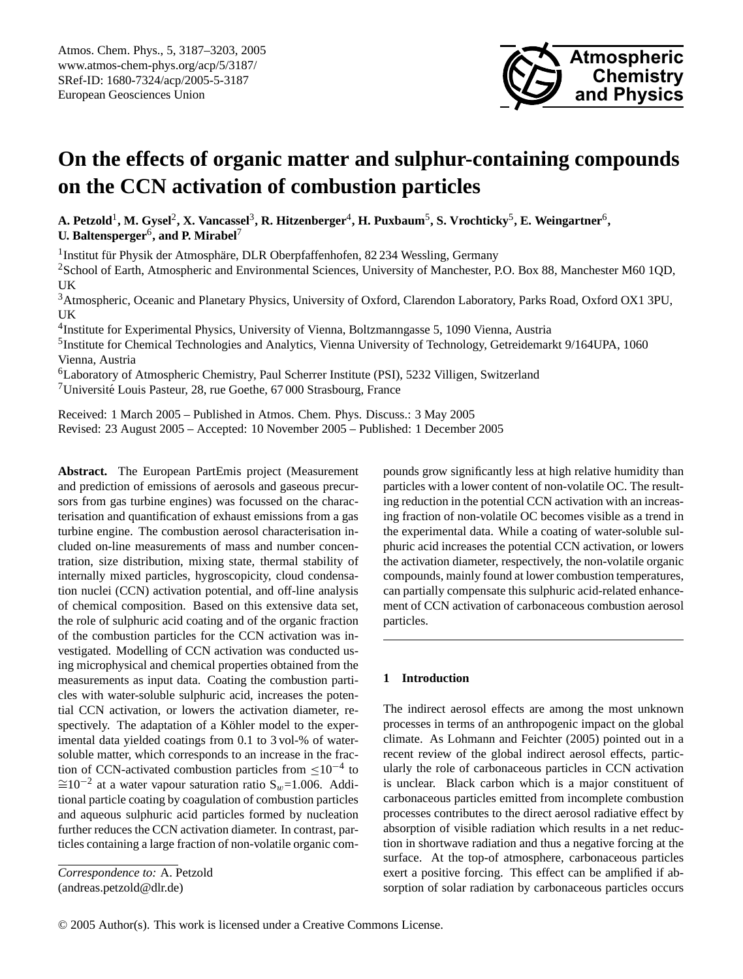

# **On the effects of organic matter and sulphur-containing compounds on the CCN activation of combustion particles**

 $\bf{A. \: Petzold}^1, \bf{M. \: Gysel}^2, \bf{X. \: Vancassel}^3, \bf{R. \: Hitzenberger}^4, \bf{H. \: Puxbaum}^5, \bf{S. \: Vrochticky}^5, \bf{E. \: Weingarther}^6,$ **U. Baltensperger**<sup>6</sup> **, and P. Mirabel**<sup>7</sup>

<sup>1</sup> Institut für Physik der Atmosphäre, DLR Oberpfaffenhofen, 82 234 Wessling, Germany

<sup>2</sup>School of Earth, Atmospheric and Environmental Sciences, University of Manchester, P.O. Box 88, Manchester M60 1QD, UK

<sup>3</sup>Atmospheric, Oceanic and Planetary Physics, University of Oxford, Clarendon Laboratory, Parks Road, Oxford OX1 3PU, UK

4 Institute for Experimental Physics, University of Vienna, Boltzmanngasse 5, 1090 Vienna, Austria

<sup>5</sup>Institute for Chemical Technologies and Analytics, Vienna University of Technology, Getreidemarkt 9/164UPA, 1060 Vienna, Austria

<sup>6</sup>Laboratory of Atmospheric Chemistry, Paul Scherrer Institute (PSI), 5232 Villigen, Switzerland

 $7$ Université Louis Pasteur, 28, rue Goethe, 67 000 Strasbourg, France

Received: 1 March 2005 – Published in Atmos. Chem. Phys. Discuss.: 3 May 2005 Revised: 23 August 2005 – Accepted: 10 November 2005 – Published: 1 December 2005

**Abstract.** The European PartEmis project (Measurement and prediction of emissions of aerosols and gaseous precursors from gas turbine engines) was focussed on the characterisation and quantification of exhaust emissions from a gas turbine engine. The combustion aerosol characterisation included on-line measurements of mass and number concentration, size distribution, mixing state, thermal stability of internally mixed particles, hygroscopicity, cloud condensation nuclei (CCN) activation potential, and off-line analysis of chemical composition. Based on this extensive data set, the role of sulphuric acid coating and of the organic fraction of the combustion particles for the CCN activation was investigated. Modelling of CCN activation was conducted using microphysical and chemical properties obtained from the measurements as input data. Coating the combustion particles with water-soluble sulphuric acid, increases the potential CCN activation, or lowers the activation diameter, respectively. The adaptation of a Köhler model to the experimental data yielded coatings from 0.1 to 3 vol-% of watersoluble matter, which corresponds to an increase in the fraction of CCN-activated combustion particles from  $\leq 10^{-4}$  to  $\cong$ 10<sup>-2</sup> at a water vapour saturation ratio S<sub>w</sub>=1.006. Additional particle coating by coagulation of combustion particles and aqueous sulphuric acid particles formed by nucleation further reduces the CCN activation diameter. In contrast, particles containing a large fraction of non-volatile organic com-

<span id="page-0-0"></span>*Correspondence to:* A. Petzold (andreas.petzold@dlr.de)

pounds grow significantly less at high relative humidity than particles with a lower content of non-volatile OC. The resulting reduction in the potential CCN activation with an increasing fraction of non-volatile OC becomes visible as a trend in the experimental data. While a coating of water-soluble sulphuric acid increases the potential CCN activation, or lowers the activation diameter, respectively, the non-volatile organic compounds, mainly found at lower combustion temperatures, can partially compensate this sulphuric acid-related enhancement of CCN activation of carbonaceous combustion aerosol particles.

## **1 Introduction**

The indirect aerosol effects are among the most unknown processes in terms of an anthropogenic impact on the global climate. As Lohmann and Feichter (2005) pointed out in a recent review of the global indirect aerosol effects, particularly the role of carbonaceous particles in CCN activation is unclear. Black carbon which is a major constituent of carbonaceous particles emitted from incomplete combustion processes contributes to the direct aerosol radiative effect by absorption of visible radiation which results in a net reduction in shortwave radiation and thus a negative forcing at the surface. At the top-of atmosphere, carbonaceous particles exert a positive forcing. This effect can be amplified if absorption of solar radiation by carbonaceous particles occurs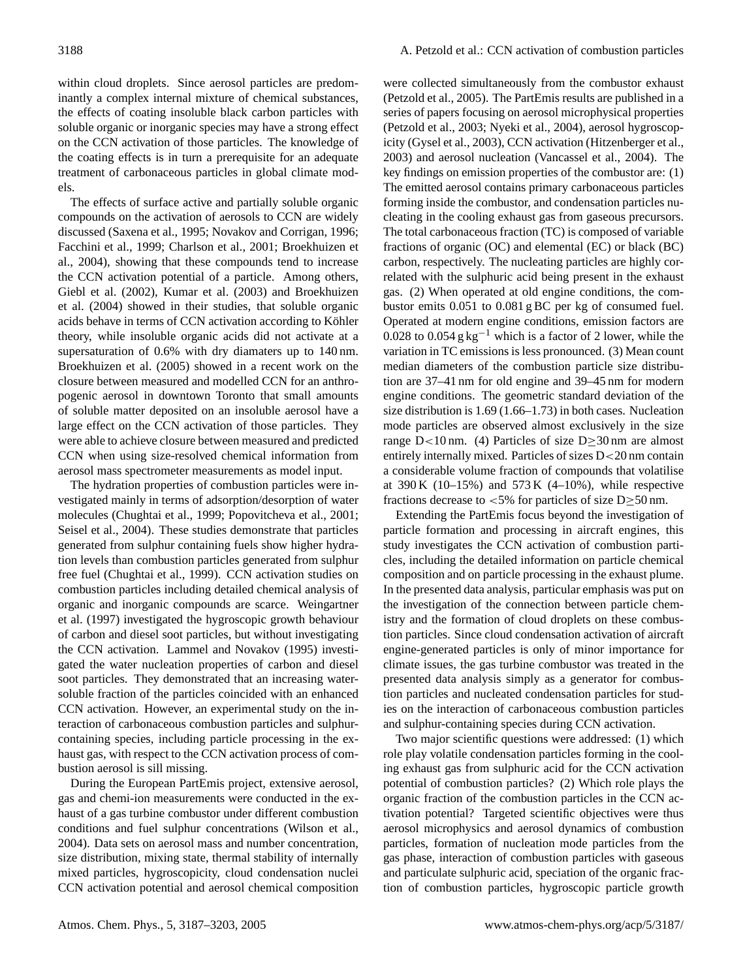within cloud droplets. Since aerosol particles are predominantly a complex internal mixture of chemical substances, the effects of coating insoluble black carbon particles with soluble organic or inorganic species may have a strong effect on the CCN activation of those particles. The knowledge of the coating effects is in turn a prerequisite for an adequate treatment of carbonaceous particles in global climate models.

The effects of surface active and partially soluble organic compounds on the activation of aerosols to CCN are widely discussed (Saxena et al., 1995; Novakov and Corrigan, 1996; Facchini et al., 1999; Charlson et al., 2001; Broekhuizen et al., 2004), showing that these compounds tend to increase the CCN activation potential of a particle. Among others, Giebl et al. (2002), Kumar et al. (2003) and Broekhuizen et al. (2004) showed in their studies, that soluble organic acids behave in terms of CCN activation according to Köhler theory, while insoluble organic acids did not activate at a supersaturation of 0.6% with dry diamaters up to 140 nm. Broekhuizen et al. (2005) showed in a recent work on the closure between measured and modelled CCN for an anthropogenic aerosol in downtown Toronto that small amounts of soluble matter deposited on an insoluble aerosol have a large effect on the CCN activation of those particles. They were able to achieve closure between measured and predicted CCN when using size-resolved chemical information from aerosol mass spectrometer measurements as model input.

The hydration properties of combustion particles were investigated mainly in terms of adsorption/desorption of water molecules (Chughtai et al., 1999; Popovitcheva et al., 2001; Seisel et al., 2004). These studies demonstrate that particles generated from sulphur containing fuels show higher hydration levels than combustion particles generated from sulphur free fuel (Chughtai et al., 1999). CCN activation studies on combustion particles including detailed chemical analysis of organic and inorganic compounds are scarce. Weingartner et al. (1997) investigated the hygroscopic growth behaviour of carbon and diesel soot particles, but without investigating the CCN activation. Lammel and Novakov (1995) investigated the water nucleation properties of carbon and diesel soot particles. They demonstrated that an increasing watersoluble fraction of the particles coincided with an enhanced CCN activation. However, an experimental study on the interaction of carbonaceous combustion particles and sulphurcontaining species, including particle processing in the exhaust gas, with respect to the CCN activation process of combustion aerosol is sill missing.

During the European PartEmis project, extensive aerosol, gas and chemi-ion measurements were conducted in the exhaust of a gas turbine combustor under different combustion conditions and fuel sulphur concentrations (Wilson et al., 2004). Data sets on aerosol mass and number concentration, size distribution, mixing state, thermal stability of internally mixed particles, hygroscopicity, cloud condensation nuclei CCN activation potential and aerosol chemical composition

were collected simultaneously from the combustor exhaust (Petzold et al., 2005). The PartEmis results are published in a series of papers focusing on aerosol microphysical properties (Petzold et al., 2003; Nyeki et al., 2004), aerosol hygroscopicity (Gysel et al., 2003), CCN activation (Hitzenberger et al., 2003) and aerosol nucleation (Vancassel et al., 2004). The key findings on emission properties of the combustor are: (1) The emitted aerosol contains primary carbonaceous particles forming inside the combustor, and condensation particles nucleating in the cooling exhaust gas from gaseous precursors. The total carbonaceous fraction (TC) is composed of variable fractions of organic (OC) and elemental (EC) or black (BC) carbon, respectively. The nucleating particles are highly correlated with the sulphuric acid being present in the exhaust gas. (2) When operated at old engine conditions, the combustor emits 0.051 to 0.081 g BC per kg of consumed fuel. Operated at modern engine conditions, emission factors are 0.028 to 0.054 g kg<sup>-1</sup> which is a factor of 2 lower, while the variation in TC emissions is less pronounced. (3) Mean count median diameters of the combustion particle size distribution are 37–41 nm for old engine and 39–45 nm for modern engine conditions. The geometric standard deviation of the size distribution is 1.69 (1.66–1.73) in both cases. Nucleation mode particles are observed almost exclusively in the size range D<10 nm. (4) Particles of size D $\geq$ 30 nm are almost entirely internally mixed. Particles of sizes D<20 nm contain a considerable volume fraction of compounds that volatilise at  $390 \text{ K}$  (10–15%) and  $573 \text{ K}$  (4–10%), while respective fractions decrease to  $< 5\%$  for particles of size D $\geq 50$  nm.

Extending the PartEmis focus beyond the investigation of particle formation and processing in aircraft engines, this study investigates the CCN activation of combustion particles, including the detailed information on particle chemical composition and on particle processing in the exhaust plume. In the presented data analysis, particular emphasis was put on the investigation of the connection between particle chemistry and the formation of cloud droplets on these combustion particles. Since cloud condensation activation of aircraft engine-generated particles is only of minor importance for climate issues, the gas turbine combustor was treated in the presented data analysis simply as a generator for combustion particles and nucleated condensation particles for studies on the interaction of carbonaceous combustion particles and sulphur-containing species during CCN activation.

Two major scientific questions were addressed: (1) which role play volatile condensation particles forming in the cooling exhaust gas from sulphuric acid for the CCN activation potential of combustion particles? (2) Which role plays the organic fraction of the combustion particles in the CCN activation potential? Targeted scientific objectives were thus aerosol microphysics and aerosol dynamics of combustion particles, formation of nucleation mode particles from the gas phase, interaction of combustion particles with gaseous and particulate sulphuric acid, speciation of the organic fraction of combustion particles, hygroscopic particle growth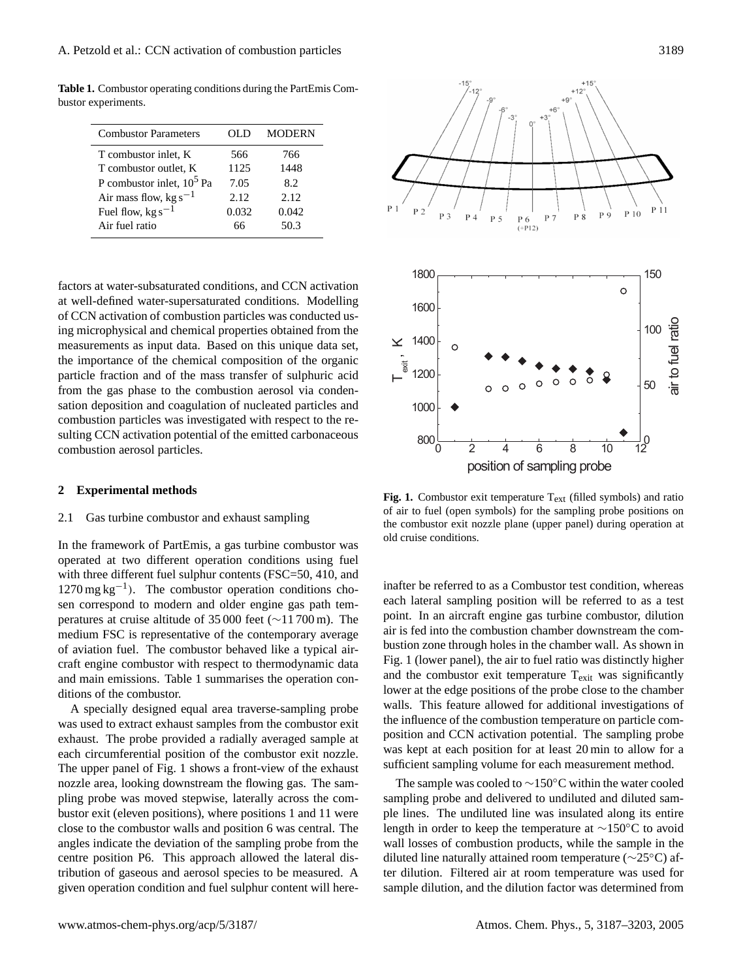**Table 1.** Combustor operating conditions during the PartEmis Combustor experiments.

| വാ    | <b>MODERN</b> |
|-------|---------------|
| 566   | 766           |
| 1125  | 1448          |
| 7.05  | 8.2           |
| 2.12. | 2.12          |
| 0.032 | 0.042         |
| 66    | 50.3          |
|       |               |

factors at water-subsaturated conditions, and CCN activation at well-defined water-supersaturated conditions. Modelling of CCN activation of combustion particles was conducted using microphysical and chemical properties obtained from the measurements as input data. Based on this unique data set, the importance of the chemical composition of the organic particle fraction and of the mass transfer of sulphuric acid from the gas phase to the combustion aerosol via condensation deposition and coagulation of nucleated particles and combustion particles was investigated with respect to the resulting CCN activation potential of the emitted carbonaceous combustion aerosol particles.

## **2 Experimental methods**

## 2.1 Gas turbine combustor and exhaust sampling

In the framework of PartEmis, a gas turbine combustor was operated at two different operation conditions using fuel with three different fuel sulphur contents (FSC=50, 410, and 1270 mg kg−<sup>1</sup> ). The combustor operation conditions chosen correspond to modern and older engine gas path temperatures at cruise altitude of 35 000 feet (∼11 700 m). The medium FSC is representative of the contemporary average of aviation fuel. The combustor behaved like a typical aircraft engine combustor with respect to thermodynamic data and main emissions. Table 1 summarises the operation conditions of the combustor.

A specially designed equal area traverse-sampling probe was used to extract exhaust samples from the combustor exit exhaust. The probe provided a radially averaged sample at each circumferential position of the combustor exit nozzle. The upper panel of Fig. 1 shows a front-view of the exhaust nozzle area, looking downstream the flowing gas. The sampling probe was moved stepwise, laterally across the combustor exit (eleven positions), where positions 1 and 11 were close to the combustor walls and position 6 was central. The angles indicate the deviation of the sampling probe from the centre position P6. This approach allowed the lateral distribution of gaseous and aerosol species to be measured. A given operation condition and fuel sulphur content will here-



Fig. 1. Combustor exit temperature T<sub>ext</sub> (filled symbols) and ratio of air to fuel (open symbols) for the sampling probe positions on the combustor exit nozzle plane (upper panel) during operation at old cruise conditions.

inafter be referred to as a Combustor test condition, whereas each lateral sampling position will be referred to as a test point. In an aircraft engine gas turbine combustor, dilution air is fed into the combustion chamber downstream the combustion zone through holes in the chamber wall. As shown in Fig. 1 (lower panel), the air to fuel ratio was distinctly higher and the combustor exit temperature  $T_{exit}$  was significantly lower at the edge positions of the probe close to the chamber walls. This feature allowed for additional investigations of the influence of the combustion temperature on particle composition and CCN activation potential. The sampling probe was kept at each position for at least 20 min to allow for a sufficient sampling volume for each measurement method.

The sample was cooled to ∼150◦C within the water cooled sampling probe and delivered to undiluted and diluted sample lines. The undiluted line was insulated along its entire length in order to keep the temperature at ∼150◦C to avoid wall losses of combustion products, while the sample in the diluted line naturally attained room temperature (∼25◦C) after dilution. Filtered air at room temperature was used for sample dilution, and the dilution factor was determined from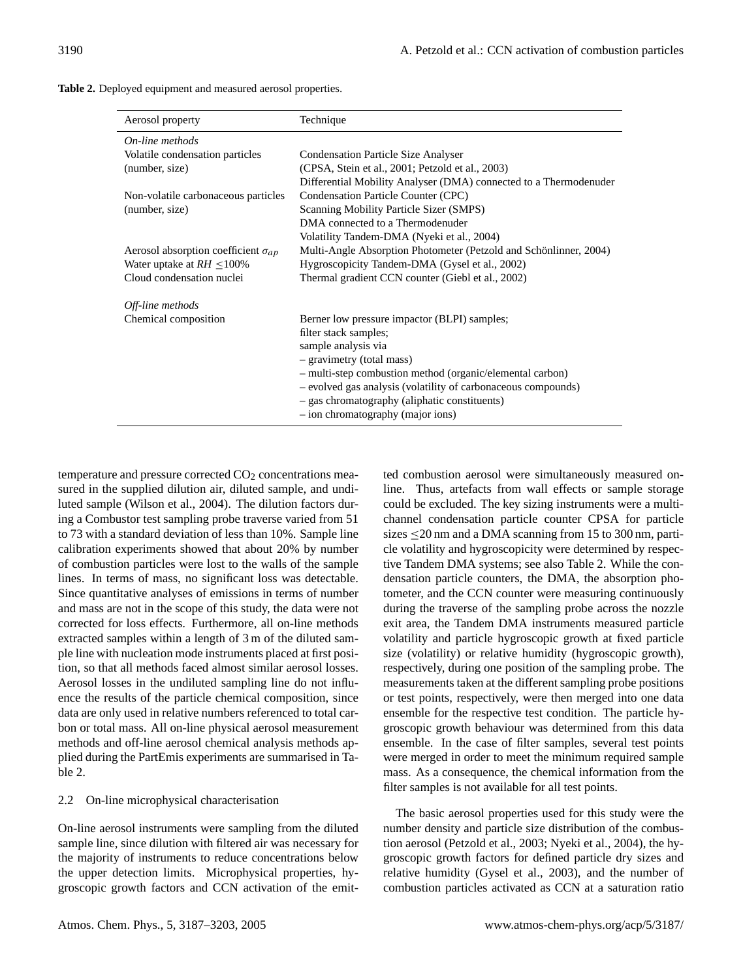| Aerosol property                             | Technique                                                         |  |  |  |
|----------------------------------------------|-------------------------------------------------------------------|--|--|--|
| On-line methods                              |                                                                   |  |  |  |
| Volatile condensation particles              | <b>Condensation Particle Size Analyser</b>                        |  |  |  |
| (number, size)                               | (CPSA, Stein et al., 2001; Petzold et al., 2003)                  |  |  |  |
|                                              | Differential Mobility Analyser (DMA) connected to a Thermodenuder |  |  |  |
| Non-volatile carbonaceous particles          | Condensation Particle Counter (CPC)                               |  |  |  |
| (number, size)                               | <b>Scanning Mobility Particle Sizer (SMPS)</b>                    |  |  |  |
|                                              | DMA connected to a Thermodenuder                                  |  |  |  |
|                                              | Volatility Tandem-DMA (Nyeki et al., 2004)                        |  |  |  |
| Aerosol absorption coefficient $\sigma_{ap}$ | Multi-Angle Absorption Photometer (Petzold and Schönlinner, 2004) |  |  |  |
| Water uptake at $RH < 100\%$                 | Hygroscopicity Tandem-DMA (Gysel et al., 2002)                    |  |  |  |
| Cloud condensation nuclei                    | Thermal gradient CCN counter (Giebl et al., 2002)                 |  |  |  |
| Off-line methods                             |                                                                   |  |  |  |
| Chemical composition                         | Berner low pressure impactor (BLPI) samples;                      |  |  |  |
|                                              | filter stack samples;                                             |  |  |  |
|                                              | sample analysis via                                               |  |  |  |
|                                              | - gravimetry (total mass)                                         |  |  |  |
|                                              | - multi-step combustion method (organic/elemental carbon)         |  |  |  |
|                                              | - evolved gas analysis (volatility of carbonaceous compounds)     |  |  |  |
|                                              | - gas chromatography (aliphatic constituents)                     |  |  |  |
|                                              | - ion chromatography (major ions)                                 |  |  |  |

**Table 2.** Deployed equipment and measured aerosol properties.

temperature and pressure corrected  $CO<sub>2</sub>$  concentrations measured in the supplied dilution air, diluted sample, and undiluted sample (Wilson et al., 2004). The dilution factors during a Combustor test sampling probe traverse varied from 51 to 73 with a standard deviation of less than 10%. Sample line calibration experiments showed that about 20% by number of combustion particles were lost to the walls of the sample lines. In terms of mass, no significant loss was detectable. Since quantitative analyses of emissions in terms of number and mass are not in the scope of this study, the data were not corrected for loss effects. Furthermore, all on-line methods extracted samples within a length of 3 m of the diluted sample line with nucleation mode instruments placed at first position, so that all methods faced almost similar aerosol losses. Aerosol losses in the undiluted sampling line do not influence the results of the particle chemical composition, since data are only used in relative numbers referenced to total carbon or total mass. All on-line physical aerosol measurement methods and off-line aerosol chemical analysis methods applied during the PartEmis experiments are summarised in Table 2.

# 2.2 On-line microphysical characterisation

On-line aerosol instruments were sampling from the diluted sample line, since dilution with filtered air was necessary for the majority of instruments to reduce concentrations below the upper detection limits. Microphysical properties, hygroscopic growth factors and CCN activation of the emitted combustion aerosol were simultaneously measured online. Thus, artefacts from wall effects or sample storage could be excluded. The key sizing instruments were a multichannel condensation particle counter CPSA for particle sizes  $\leq$ 20 nm and a DMA scanning from 15 to 300 nm, particle volatility and hygroscopicity were determined by respective Tandem DMA systems; see also Table 2. While the condensation particle counters, the DMA, the absorption photometer, and the CCN counter were measuring continuously during the traverse of the sampling probe across the nozzle exit area, the Tandem DMA instruments measured particle volatility and particle hygroscopic growth at fixed particle size (volatility) or relative humidity (hygroscopic growth), respectively, during one position of the sampling probe. The measurements taken at the different sampling probe positions or test points, respectively, were then merged into one data ensemble for the respective test condition. The particle hygroscopic growth behaviour was determined from this data ensemble. In the case of filter samples, several test points were merged in order to meet the minimum required sample mass. As a consequence, the chemical information from the filter samples is not available for all test points.

The basic aerosol properties used for this study were the number density and particle size distribution of the combustion aerosol (Petzold et al., 2003; Nyeki et al., 2004), the hygroscopic growth factors for defined particle dry sizes and relative humidity (Gysel et al., 2003), and the number of combustion particles activated as CCN at a saturation ratio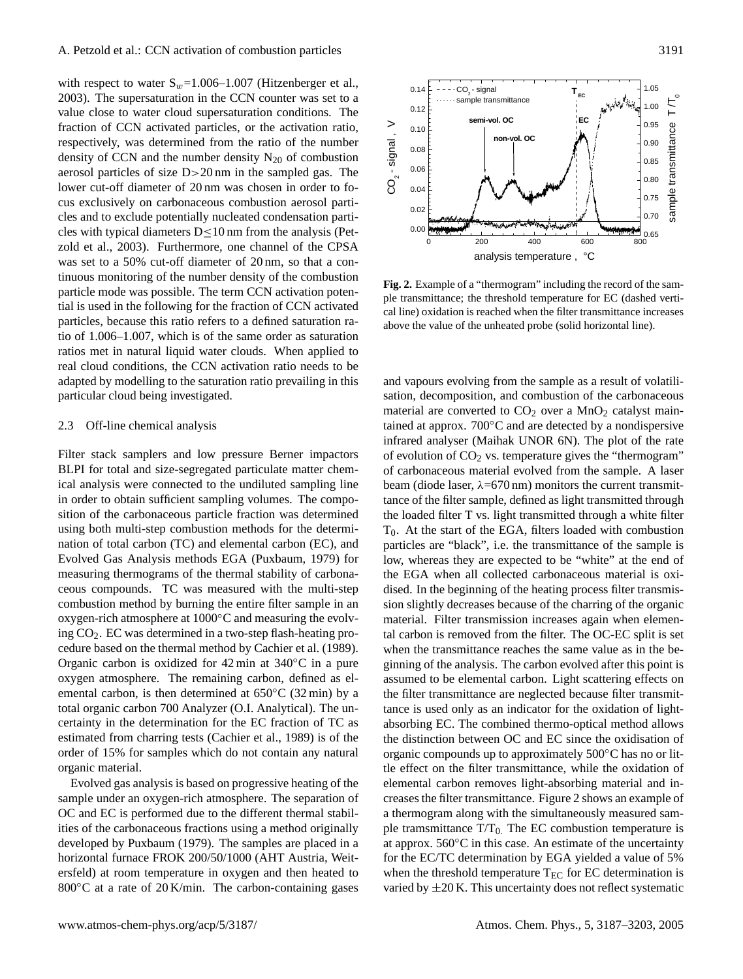with respect to water  $S_w = 1.006 - 1.007$  (Hitzenberger et al., 2003). The supersaturation in the CCN counter was set to a value close to water cloud supersaturation conditions. The fraction of CCN activated particles, or the activation ratio, respectively, was determined from the ratio of the number density of CCN and the number density  $N_{20}$  of combustion aerosol particles of size D>20 nm in the sampled gas. The lower cut-off diameter of 20 nm was chosen in order to focus exclusively on carbonaceous combustion aerosol particles and to exclude potentially nucleated condensation particles with typical diameters  $D \le 10$  nm from the analysis (Petzold et al., 2003). Furthermore, one channel of the CPSA was set to a 50% cut-off diameter of 20 nm, so that a continuous monitoring of the number density of the combustion particle mode was possible. The term CCN activation potential is used in the following for the fraction of CCN activated particles, because this ratio refers to a defined saturation ratio of 1.006–1.007, which is of the same order as saturation ratios met in natural liquid water clouds. When applied to real cloud conditions, the CCN activation ratio needs to be adapted by modelling to the saturation ratio prevailing in this particular cloud being investigated.

# 2.3 Off-line chemical analysis

Filter stack samplers and low pressure Berner impactors BLPI for total and size-segregated particulate matter chemical analysis were connected to the undiluted sampling line in order to obtain sufficient sampling volumes. The composition of the carbonaceous particle fraction was determined using both multi-step combustion methods for the determination of total carbon (TC) and elemental carbon (EC), and Evolved Gas Analysis methods EGA (Puxbaum, 1979) for measuring thermograms of the thermal stability of carbonaceous compounds. TC was measured with the multi-step combustion method by burning the entire filter sample in an oxygen-rich atmosphere at 1000◦C and measuring the evolving CO2. EC was determined in a two-step flash-heating procedure based on the thermal method by Cachier et al. (1989). Organic carbon is oxidized for 42 min at 340◦C in a pure oxygen atmosphere. The remaining carbon, defined as elemental carbon, is then determined at 650◦C (32 min) by a total organic carbon 700 Analyzer (O.I. Analytical). The uncertainty in the determination for the EC fraction of TC as estimated from charring tests (Cachier et al., 1989) is of the order of 15% for samples which do not contain any natural organic material.

Evolved gas analysis is based on progressive heating of the sample under an oxygen-rich atmosphere. The separation of OC and EC is performed due to the different thermal stabilities of the carbonaceous fractions using a method originally developed by Puxbaum (1979). The samples are placed in a horizontal furnace FROK 200/50/1000 (AHT Austria, Weitersfeld) at room temperature in oxygen and then heated to 800◦C at a rate of 20 K/min. The carbon-containing gases



**Fig. 2.** Example of a "thermogram" including the record of the sample transmittance; the threshold temperature for EC (dashed vertical line) oxidation is reached when the filter transmittance increases above the value of the unheated probe (solid horizontal line).

and vapours evolving from the sample as a result of volatilisation, decomposition, and combustion of the carbonaceous material are converted to  $CO<sub>2</sub>$  over a MnO<sub>2</sub> catalyst maintained at approx. 700◦C and are detected by a nondispersive infrared analyser (Maihak UNOR 6N). The plot of the rate of evolution of  $CO<sub>2</sub>$  vs. temperature gives the "thermogram" of carbonaceous material evolved from the sample. A laser beam (diode laser,  $\lambda$ =670 nm) monitors the current transmittance of the filter sample, defined as light transmitted through the loaded filter T vs. light transmitted through a white filter T0. At the start of the EGA, filters loaded with combustion particles are "black", i.e. the transmittance of the sample is low, whereas they are expected to be "white" at the end of the EGA when all collected carbonaceous material is oxidised. In the beginning of the heating process filter transmission slightly decreases because of the charring of the organic material. Filter transmission increases again when elemental carbon is removed from the filter. The OC-EC split is set when the transmittance reaches the same value as in the beginning of the analysis. The carbon evolved after this point is assumed to be elemental carbon. Light scattering effects on the filter transmittance are neglected because filter transmittance is used only as an indicator for the oxidation of lightabsorbing EC. The combined thermo-optical method allows the distinction between OC and EC since the oxidisation of organic compounds up to approximately 500◦C has no or little effect on the filter transmittance, while the oxidation of elemental carbon removes light-absorbing material and increases the filter transmittance. Figure 2 shows an example of a thermogram along with the simultaneously measured sample tramsmittance  $T/T_0$ . The EC combustion temperature is at approx. 560◦C in this case. An estimate of the uncertainty for the EC/TC determination by EGA yielded a value of 5% when the threshold temperature  $T_{EC}$  for EC determination is varied by  $\pm 20$  K. This uncertainty does not reflect systematic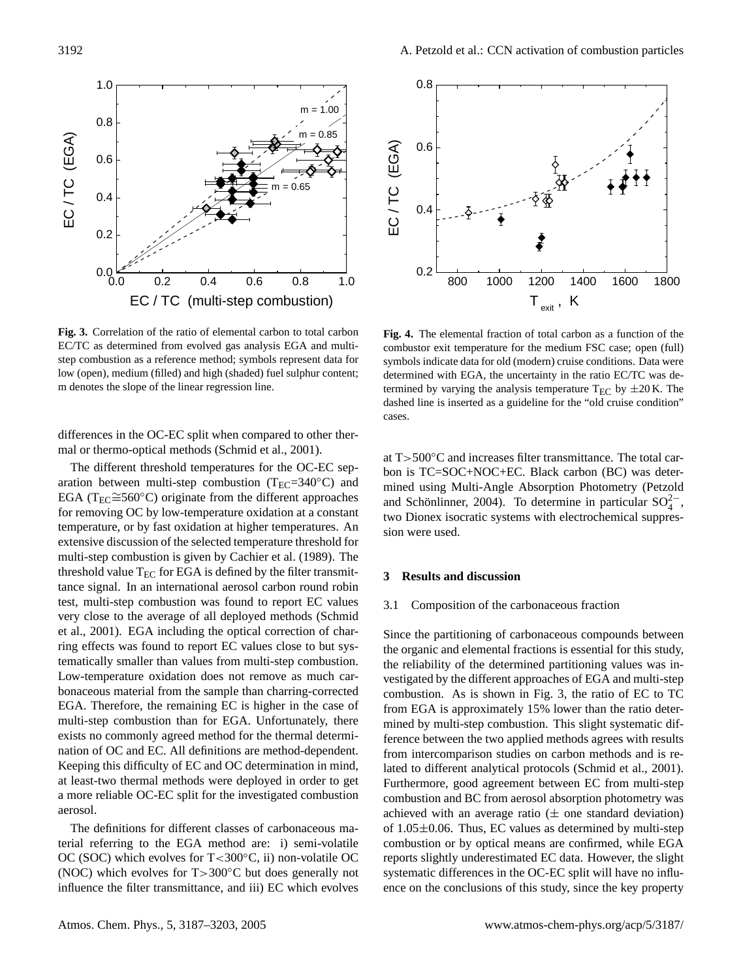

**Fig. 3.** Correlation of the ratio of elemental carbon to total carbon EC/TC as determined from evolved gas analysis EGA and multistep combustion as a reference method; symbols represent data for low (open), medium (filled) and high (shaded) fuel sulphur content; m denotes the slope of the linear regression line.

differences in the OC-EC split when compared to other thermal or thermo-optical methods (Schmid et al., 2001).

The different threshold temperatures for the OC-EC separation between multi-step combustion ( $T_{EC}$ =340 $°C$ ) and EGA (T<sub>EC</sub>≅560°C) originate from the different approaches for removing OC by low-temperature oxidation at a constant temperature, or by fast oxidation at higher temperatures. An extensive discussion of the selected temperature threshold for multi-step combustion is given by Cachier et al. (1989). The threshold value  $T_{EC}$  for EGA is defined by the filter transmittance signal. In an international aerosol carbon round robin test, multi-step combustion was found to report EC values very close to the average of all deployed methods (Schmid et al., 2001). EGA including the optical correction of charring effects was found to report EC values close to but systematically smaller than values from multi-step combustion. Low-temperature oxidation does not remove as much carbonaceous material from the sample than charring-corrected EGA. Therefore, the remaining EC is higher in the case of multi-step combustion than for EGA. Unfortunately, there exists no commonly agreed method for the thermal determination of OC and EC. All definitions are method-dependent. Keeping this difficulty of EC and OC determination in mind, at least-two thermal methods were deployed in order to get a more reliable OC-EC split for the investigated combustion aerosol.

The definitions for different classes of carbonaceous material referring to the EGA method are: i) semi-volatile OC (SOC) which evolves for  $T < 300^{\circ}$ C, ii) non-volatile OC (NOC) which evolves for  $T > 300^{\circ}$ C but does generally not influence the filter transmittance, and iii) EC which evolves



**Fig. 4.** The elemental fraction of total carbon as a function of the combustor exit temperature for the medium FSC case; open (full) symbols indicate data for old (modern) cruise conditions. Data were determined with EGA, the uncertainty in the ratio EC/TC was determined by varying the analysis temperature  $T_{EC}$  by  $\pm 20$  K. The dashed line is inserted as a guideline for the "old cruise condition" cases.

at T>500◦C and increases filter transmittance. The total carbon is TC=SOC+NOC+EC. Black carbon (BC) was determined using Multi-Angle Absorption Photometry (Petzold and Schönlinner, 2004). To determine in particular  $SO_4^{2-}$ , two Dionex isocratic systems with electrochemical suppression were used.

## **3 Results and discussion**

#### 3.1 Composition of the carbonaceous fraction

Since the partitioning of carbonaceous compounds between the organic and elemental fractions is essential for this study, the reliability of the determined partitioning values was investigated by the different approaches of EGA and multi-step combustion. As is shown in Fig. 3, the ratio of EC to TC from EGA is approximately 15% lower than the ratio determined by multi-step combustion. This slight systematic difference between the two applied methods agrees with results from intercomparison studies on carbon methods and is related to different analytical protocols (Schmid et al., 2001). Furthermore, good agreement between EC from multi-step combustion and BC from aerosol absorption photometry was achieved with an average ratio  $(±$  one standard deviation) of  $1.05\pm0.06$ . Thus, EC values as determined by multi-step combustion or by optical means are confirmed, while EGA reports slightly underestimated EC data. However, the slight systematic differences in the OC-EC split will have no influence on the conclusions of this study, since the key property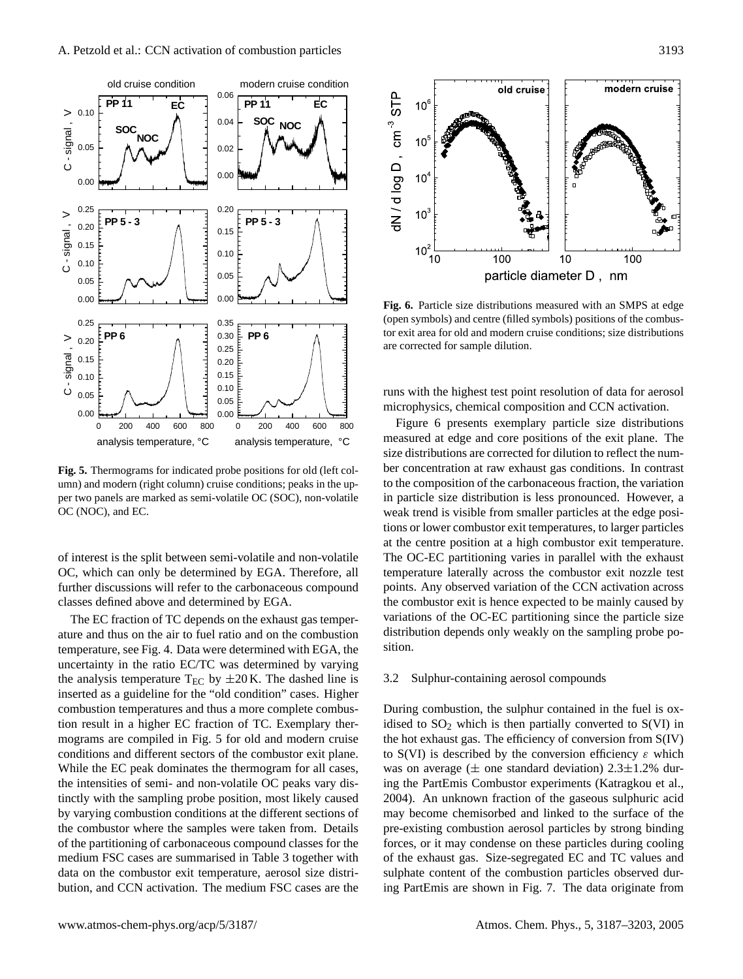

**Fig. 5.** Thermograms for indicated probe positions for old (left column) and modern (right column) cruise conditions; peaks in the upper two panels are marked as semi-volatile OC (SOC), non-volatile OC (NOC), and EC.

of interest is the split between semi-volatile and non-volatile OC, which can only be determined by EGA. Therefore, all further discussions will refer to the carbonaceous compound classes defined above and determined by EGA.

The EC fraction of TC depends on the exhaust gas temperature and thus on the air to fuel ratio and on the combustion temperature, see Fig. 4. Data were determined with EGA, the uncertainty in the ratio EC/TC was determined by varying the analysis temperature  $T_{EC}$  by  $\pm 20$  K. The dashed line is inserted as a guideline for the "old condition" cases. Higher combustion temperatures and thus a more complete combustion result in a higher EC fraction of TC. Exemplary thermograms are compiled in Fig. 5 for old and modern cruise conditions and different sectors of the combustor exit plane. While the EC peak dominates the thermogram for all cases, the intensities of semi- and non-volatile OC peaks vary distinctly with the sampling probe position, most likely caused by varying combustion conditions at the different sections of the combustor where the samples were taken from. Details of the partitioning of carbonaceous compound classes for the medium FSC cases are summarised in Table 3 together with data on the combustor exit temperature, aerosol size distribution, and CCN activation. The medium FSC cases are the



**Fig. 6.** Particle size distributions measured with an SMPS at edge (open symbols) and centre (filled symbols) positions of the combustor exit area for old and modern cruise conditions; size distributions are corrected for sample dilution.

runs with the highest test point resolution of data for aerosol microphysics, chemical composition and CCN activation.

Figure 6 presents exemplary particle size distributions measured at edge and core positions of the exit plane. The size distributions are corrected for dilution to reflect the number concentration at raw exhaust gas conditions. In contrast to the composition of the carbonaceous fraction, the variation in particle size distribution is less pronounced. However, a weak trend is visible from smaller particles at the edge positions or lower combustor exit temperatures, to larger particles at the centre position at a high combustor exit temperature. The OC-EC partitioning varies in parallel with the exhaust temperature laterally across the combustor exit nozzle test points. Any observed variation of the CCN activation across the combustor exit is hence expected to be mainly caused by variations of the OC-EC partitioning since the particle size distribution depends only weakly on the sampling probe position.

## 3.2 Sulphur-containing aerosol compounds

During combustion, the sulphur contained in the fuel is oxidised to  $SO_2$  which is then partially converted to  $S(VI)$  in the hot exhaust gas. The efficiency of conversion from S(IV) to S(VI) is described by the conversion efficiency  $\varepsilon$  which was on average ( $\pm$  one standard deviation) 2.3 $\pm$ 1.2% during the PartEmis Combustor experiments (Katragkou et al., 2004). An unknown fraction of the gaseous sulphuric acid may become chemisorbed and linked to the surface of the pre-existing combustion aerosol particles by strong binding forces, or it may condense on these particles during cooling of the exhaust gas. Size-segregated EC and TC values and sulphate content of the combustion particles observed during PartEmis are shown in Fig. 7. The data originate from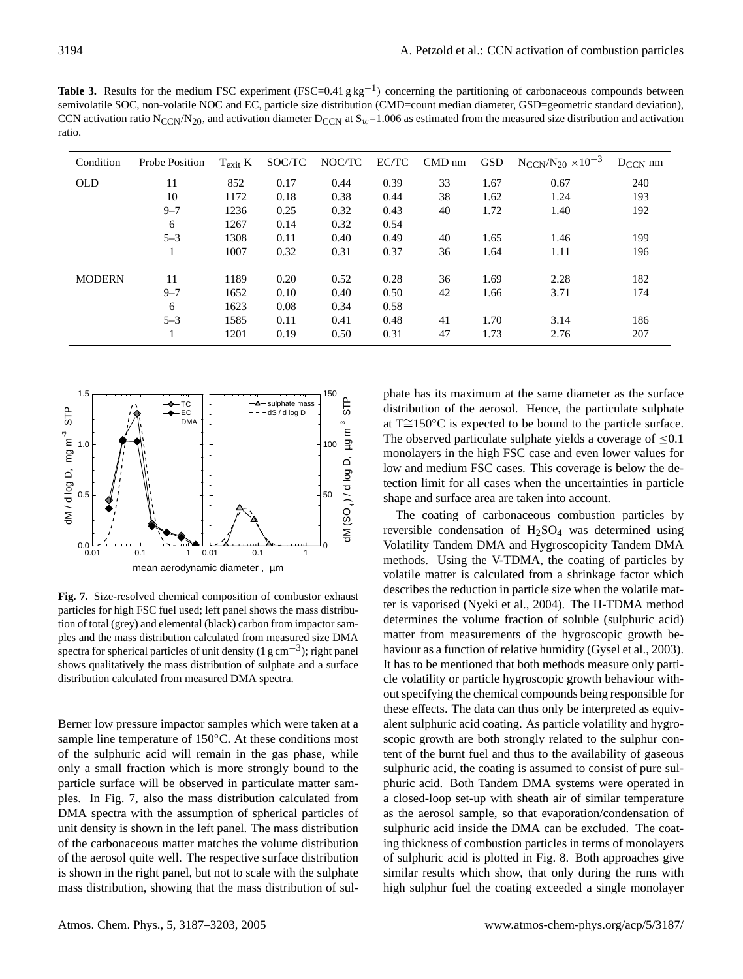Table 3. Results for the medium FSC experiment (FSC=0.41 g kg<sup>-1</sup>) concerning the partitioning of carbonaceous compounds between semivolatile SOC, non-volatile NOC and EC, particle size distribution (CMD=count median diameter, GSD=geometric standard deviation), CCN activation ratio N<sub>CCN</sub>/N<sub>20</sub>, and activation diameter D<sub>CCN</sub> at S<sub>w</sub>=1.006 as estimated from the measured size distribution and activation ratio.

| Condition     | Probe Position | $T_{\text{exit}}$ K | SOC/TC | NOC/TC | EC/TC | CMD nm | GSD  | $N_{\text{CCN}}/N_{20} \times 10^{-3}$ | $D_{CCN}$ nm |
|---------------|----------------|---------------------|--------|--------|-------|--------|------|----------------------------------------|--------------|
| <b>OLD</b>    | 11             | 852                 | 0.17   | 0.44   | 0.39  | 33     | 1.67 | 0.67                                   | 240          |
|               | 10             | 1172                | 0.18   | 0.38   | 0.44  | 38     | 1.62 | 1.24                                   | 193          |
|               | $9 - 7$        | 1236                | 0.25   | 0.32   | 0.43  | 40     | 1.72 | 1.40                                   | 192          |
|               | 6              | 1267                | 0.14   | 0.32   | 0.54  |        |      |                                        |              |
|               | $5 - 3$        | 1308                | 0.11   | 0.40   | 0.49  | 40     | 1.65 | 1.46                                   | 199          |
|               | 1              | 1007                | 0.32   | 0.31   | 0.37  | 36     | 1.64 | 1.11                                   | 196          |
| <b>MODERN</b> | 11             | 1189                | 0.20   | 0.52   | 0.28  | 36     | 1.69 | 2.28                                   | 182          |
|               | $9 - 7$        | 1652                | 0.10   | 0.40   | 0.50  | 42     | 1.66 | 3.71                                   | 174          |
|               | 6              | 1623                | 0.08   | 0.34   | 0.58  |        |      |                                        |              |
|               | $5 - 3$        | 1585                | 0.11   | 0.41   | 0.48  | 41     | 1.70 | 3.14                                   | 186          |
|               |                | 1201                | 0.19   | 0.50   | 0.31  | 47     | 1.73 | 2.76                                   | 207          |



**Fig. 7.** Size-resolved chemical composition of combustor exhaust particles for high FSC fuel used; left panel shows the mass distribution of total (grey) and elemental (black) carbon from impactor samples and the mass distribution calculated from measured size DMA spectra for spherical particles of unit density (1 g cm−<sup>3</sup> ); right panel shows qualitatively the mass distribution of sulphate and a surface distribution calculated from measured DMA spectra.

Berner low pressure impactor samples which were taken at a sample line temperature of 150 °C. At these conditions most of the sulphuric acid will remain in the gas phase, while only a small fraction which is more strongly bound to the particle surface will be observed in particulate matter samples. In Fig. 7, also the mass distribution calculated from DMA spectra with the assumption of spherical particles of unit density is shown in the left panel. The mass distribution of the carbonaceous matter matches the volume distribution of the aerosol quite well. The respective surface distribution is shown in the right panel, but not to scale with the sulphate mass distribution, showing that the mass distribution of sulphate has its maximum at the same diameter as the surface distribution of the aerosol. Hence, the particulate sulphate at T≅150°C is expected to be bound to the particle surface. The observed particulate sulphate yields a coverage of  $\leq 0.1$ monolayers in the high FSC case and even lower values for low and medium FSC cases. This coverage is below the detection limit for all cases when the uncertainties in particle shape and surface area are taken into account.

The coating of carbonaceous combustion particles by reversible condensation of  $H<sub>2</sub>SO<sub>4</sub>$  was determined using Volatility Tandem DMA and Hygroscopicity Tandem DMA methods. Using the V-TDMA, the coating of particles by volatile matter is calculated from a shrinkage factor which describes the reduction in particle size when the volatile matter is vaporised (Nyeki et al., 2004). The H-TDMA method determines the volume fraction of soluble (sulphuric acid) matter from measurements of the hygroscopic growth behaviour as a function of relative humidity (Gysel et al., 2003). It has to be mentioned that both methods measure only particle volatility or particle hygroscopic growth behaviour without specifying the chemical compounds being responsible for these effects. The data can thus only be interpreted as equivalent sulphuric acid coating. As particle volatility and hygroscopic growth are both strongly related to the sulphur content of the burnt fuel and thus to the availability of gaseous sulphuric acid, the coating is assumed to consist of pure sulphuric acid. Both Tandem DMA systems were operated in a closed-loop set-up with sheath air of similar temperature as the aerosol sample, so that evaporation/condensation of sulphuric acid inside the DMA can be excluded. The coating thickness of combustion particles in terms of monolayers of sulphuric acid is plotted in Fig. 8. Both approaches give similar results which show, that only during the runs with high sulphur fuel the coating exceeded a single monolayer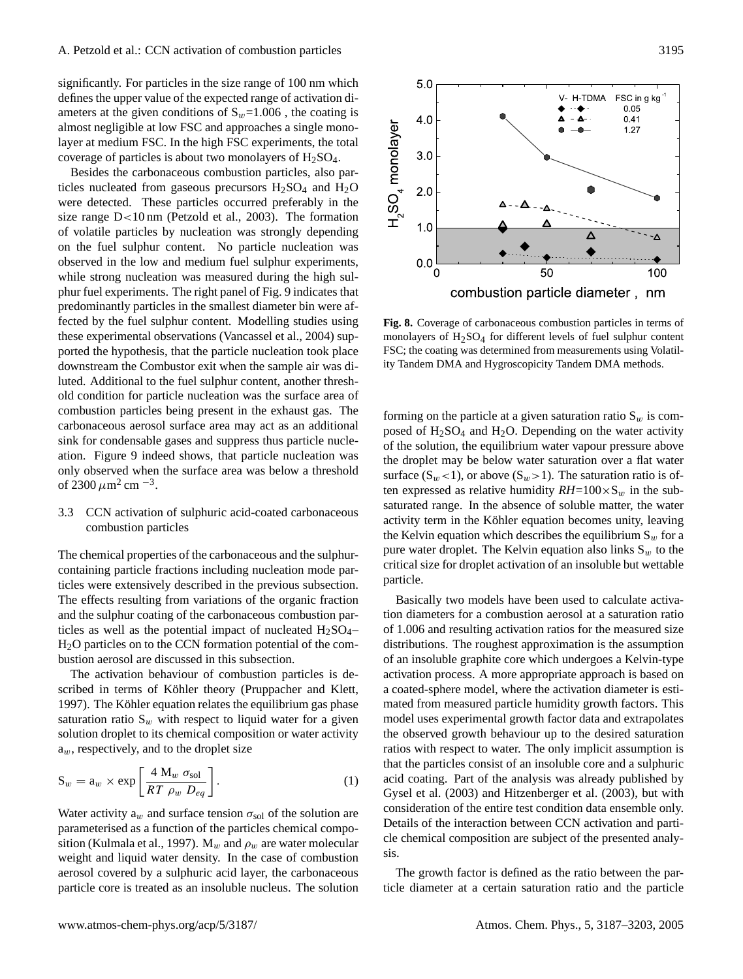significantly. For particles in the size range of 100 nm which defines the upper value of the expected range of activation diameters at the given conditions of  $S_w=1.006$ , the coating is almost negligible at low FSC and approaches a single monolayer at medium FSC. In the high FSC experiments, the total coverage of particles is about two monolayers of  $H_2SO_4$ .

Besides the carbonaceous combustion particles, also particles nucleated from gaseous precursors  $H_2SO_4$  and  $H_2O$ were detected. These particles occurred preferably in the size range D<10 nm (Petzold et al., 2003). The formation of volatile particles by nucleation was strongly depending on the fuel sulphur content. No particle nucleation was observed in the low and medium fuel sulphur experiments, while strong nucleation was measured during the high sulphur fuel experiments. The right panel of Fig. 9 indicates that predominantly particles in the smallest diameter bin were affected by the fuel sulphur content. Modelling studies using these experimental observations (Vancassel et al., 2004) supported the hypothesis, that the particle nucleation took place downstream the Combustor exit when the sample air was diluted. Additional to the fuel sulphur content, another threshold condition for particle nucleation was the surface area of combustion particles being present in the exhaust gas. The carbonaceous aerosol surface area may act as an additional sink for condensable gases and suppress thus particle nucleation. Figure 9 indeed shows, that particle nucleation was only observed when the surface area was below a threshold of 2300  $\mu$ m<sup>2</sup> cm <sup>-3</sup>.

## 3.3 CCN activation of sulphuric acid-coated carbonaceous combustion particles

The chemical properties of the carbonaceous and the sulphurcontaining particle fractions including nucleation mode particles were extensively described in the previous subsection. The effects resulting from variations of the organic fraction and the sulphur coating of the carbonaceous combustion particles as well as the potential impact of nucleated  $H_2SO_4-$ H2O particles on to the CCN formation potential of the combustion aerosol are discussed in this subsection.

The activation behaviour of combustion particles is described in terms of Köhler theory (Pruppacher and Klett, 1997). The Köhler equation relates the equilibrium gas phase saturation ratio  $S_w$  with respect to liquid water for a given solution droplet to its chemical composition or water activity  $a_w$ , respectively, and to the droplet size

$$
S_w = a_w \times \exp\left[\frac{4 M_w \sigma_{sol}}{RT \rho_w D_{eq}}\right].
$$
 (1)

Water activity  $a_w$  and surface tension  $\sigma_{sol}$  of the solution are parameterised as a function of the particles chemical composition (Kulmala et al., 1997).  $M_w$  and  $\rho_w$  are water molecular weight and liquid water density. In the case of combustion aerosol covered by a sulphuric acid layer, the carbonaceous particle core is treated as an insoluble nucleus. The solution



**Fig. 8.** Coverage of carbonaceous combustion particles in terms of monolayers of H2SO4 for different levels of fuel sulphur content FSC; the coating was determined from measurements using Volatility Tandem DMA and Hygroscopicity Tandem DMA methods.

combustion particle diameter, nm

forming on the particle at a given saturation ratio  $S_w$  is composed of  $H_2SO_4$  and  $H_2O$ . Depending on the water activity of the solution, the equilibrium water vapour pressure above the droplet may be below water saturation over a flat water surface  $(S_w < 1)$ , or above  $(S_w > 1)$ . The saturation ratio is often expressed as relative humidity  $RH=100\times S_w$  in the subsaturated range. In the absence of soluble matter, the water activity term in the Köhler equation becomes unity, leaving the Kelvin equation which describes the equilibrium  $S_w$  for a pure water droplet. The Kelvin equation also links  $S_w$  to the critical size for droplet activation of an insoluble but wettable particle.

Basically two models have been used to calculate activation diameters for a combustion aerosol at a saturation ratio of 1.006 and resulting activation ratios for the measured size distributions. The roughest approximation is the assumption of an insoluble graphite core which undergoes a Kelvin-type activation process. A more appropriate approach is based on a coated-sphere model, where the activation diameter is estimated from measured particle humidity growth factors. This model uses experimental growth factor data and extrapolates the observed growth behaviour up to the desired saturation ratios with respect to water. The only implicit assumption is that the particles consist of an insoluble core and a sulphuric acid coating. Part of the analysis was already published by Gysel et al. (2003) and Hitzenberger et al. (2003), but with consideration of the entire test condition data ensemble only. Details of the interaction between CCN activation and particle chemical composition are subject of the presented analysis.

The growth factor is defined as the ratio between the particle diameter at a certain saturation ratio and the particle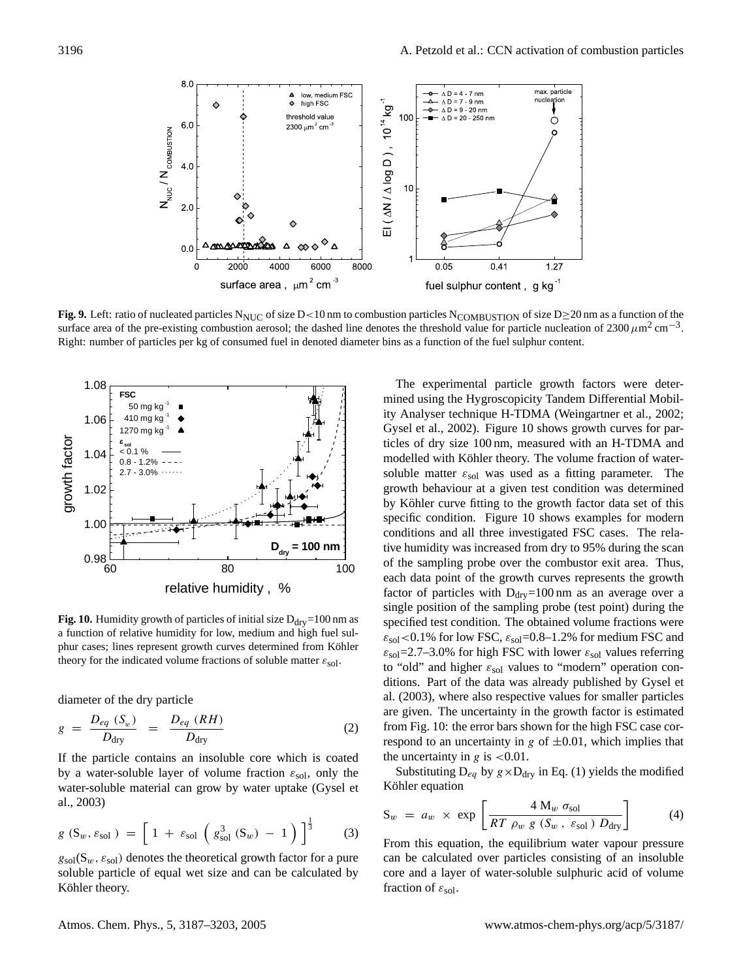

**Fig. 9.** Left: ratio of nucleated particles N<sub>NUC</sub> of size D<10 nm to combustion particles N<sub>COMBUSTION</sub> of size D≥20 nm as a function of the surface area of the pre-existing combustion aerosol; the dashed line denotes the threshold value for particle nucleation of 2300  $\mu$ m<sup>2</sup> cm<sup>-3</sup>. Right: number of particles per kg of consumed fuel in denoted diameter bins as a function of the fuel sulphur content.



**Fig. 10.** Humidity growth of particles of initial size  $D_{\text{dry}} = 100 \text{ nm}$  as a function of relative humidity for low, medium and high fuel sulphur cases; lines represent growth curves determined from Köhler theory for the indicated volume fractions of soluble matter  $\varepsilon_{\text{sol}}$ .

diameter of the dry particle

$$
g = \frac{D_{eq} (S_w)}{D_{\text{dry}}} = \frac{D_{eq} (RH)}{D_{\text{dry}}}
$$
 (2)

If the particle contains an insoluble core which is coated by a water-soluble layer of volume fraction  $\varepsilon_{sol}$ , only the water-soluble material can grow by water uptake (Gysel et al., 2003)

$$
g\left(S_w, \varepsilon_{\text{sol}}\right) = \left[1 + \varepsilon_{\text{sol}}\left(g_{\text{sol}}^3\left(S_w\right) - 1\right)\right]^{\frac{1}{3}}\tag{3}
$$

 $g_{sol}(S_w, \varepsilon_{sol})$  denotes the theoretical growth factor for a pure soluble particle of equal wet size and can be calculated by Köhler theory.

The experimental particle growth factors were determined using the Hygroscopicity Tandem Differential Mobility Analyser technique H-TDMA (Weingartner et al., 2002; Gysel et al., 2002). Figure 10 shows growth curves for particles of dry size 100 nm, measured with an H-TDMA and modelled with Köhler theory. The volume fraction of watersoluble matter  $\varepsilon_{sol}$  was used as a fitting parameter. The growth behaviour at a given test condition was determined by Köhler curve fitting to the growth factor data set of this specific condition. Figure 10 shows examples for modern conditions and all three investigated FSC cases. The relative humidity was increased from dry to 95% during the scan of the sampling probe over the combustor exit area. Thus, each data point of the growth curves represents the growth factor of particles with  $D_{\text{dry}}=100 \text{ nm}$  as an average over a single position of the sampling probe (test point) during the specified test condition. The obtained volume fractions were  $\varepsilon_{\text{sol}}$  < 0.1% for low FSC,  $\varepsilon_{\text{sol}}$  = 0.8–1.2% for medium FSC and  $\varepsilon_{\text{sol}}$ =2.7–3.0% for high FSC with lower  $\varepsilon_{\text{sol}}$  values referring to "old" and higher  $\varepsilon_{sol}$  values to "modern" operation conditions. Part of the data was already published by Gysel et al. (2003), where also respective values for smaller particles are given. The uncertainty in the growth factor is estimated from Fig. 10: the error bars shown for the high FSC case correspond to an uncertainty in  $g$  of  $\pm 0.01$ , which implies that the uncertainty in g is  $< 0.01$ .

Substituting  $D_{eq}$  by  $g \times D_{dry}$  in Eq. (1) yields the modified Köhler equation

$$
S_w = a_w \times \exp\left[\frac{4 M_w \sigma_{sol}}{RT \rho_w g (S_w, \varepsilon_{sol}) D_{dry}}\right]
$$
 (4)

From this equation, the equilibrium water vapour pressure can be calculated over particles consisting of an insoluble core and a layer of water-soluble sulphuric acid of volume fraction of  $\varepsilon_{\text{sol}}$ .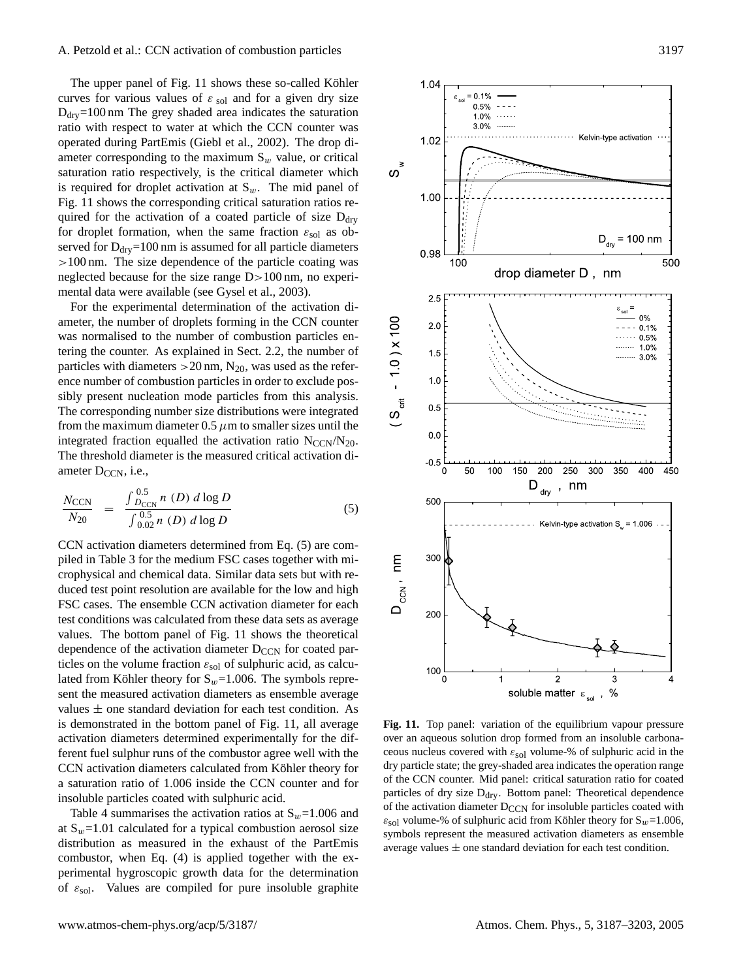The upper panel of Fig. 11 shows these so-called Köhler curves for various values of  $\varepsilon$  sol and for a given dry size  $D_{\text{dry}}$ =100 nm The grey shaded area indicates the saturation ratio with respect to water at which the CCN counter was operated during PartEmis (Giebl et al., 2002). The drop diameter corresponding to the maximum  $S_w$  value, or critical saturation ratio respectively, is the critical diameter which is required for droplet activation at  $S_w$ . The mid panel of Fig. 11 shows the corresponding critical saturation ratios required for the activation of a coated particle of size  $D<sub>dry</sub>$ for droplet formation, when the same fraction  $\varepsilon_{sol}$  as observed for  $D_{\text{dry}} = 100 \text{ nm}$  is assumed for all particle diameters >100 nm. The size dependence of the particle coating was neglected because for the size range D>100 nm, no experimental data were available (see Gysel et al., 2003).

For the experimental determination of the activation diameter, the number of droplets forming in the CCN counter was normalised to the number of combustion particles entering the counter. As explained in Sect. 2.2, the number of particles with diameters  $>20$  nm, N<sub>20</sub>, was used as the reference number of combustion particles in order to exclude possibly present nucleation mode particles from this analysis. The corresponding number size distributions were integrated from the maximum diameter  $0.5 \mu$ m to smaller sizes until the integrated fraction equalled the activation ratio  $N_{CCN}/N_{20}$ . The threshold diameter is the measured critical activation diameter  $D_{CCN}$ , i.e.,

$$
\frac{N_{\text{CCN}}}{N_{20}} = \frac{\int_{D_{\text{CCN}}}^{0.5} n(D) \, d \log D}{\int_{0.02}^{0.5} n(D) \, d \log D} \tag{5}
$$

CCN activation diameters determined from Eq. (5) are compiled in Table 3 for the medium FSC cases together with microphysical and chemical data. Similar data sets but with reduced test point resolution are available for the low and high FSC cases. The ensemble CCN activation diameter for each test conditions was calculated from these data sets as average values. The bottom panel of Fig. 11 shows the theoretical dependence of the activation diameter  $D_{CCN}$  for coated particles on the volume fraction  $\varepsilon_{sol}$  of sulphuric acid, as calculated from Köhler theory for  $S_w=1.006$ . The symbols represent the measured activation diameters as ensemble average values  $\pm$  one standard deviation for each test condition. As is demonstrated in the bottom panel of Fig. 11, all average activation diameters determined experimentally for the different fuel sulphur runs of the combustor agree well with the CCN activation diameters calculated from Köhler theory for a saturation ratio of 1.006 inside the CCN counter and for insoluble particles coated with sulphuric acid.

Table 4 summarises the activation ratios at  $S_w=1.006$  and at  $S_w$ =1.01 calculated for a typical combustion aerosol size distribution as measured in the exhaust of the PartEmis combustor, when Eq. (4) is applied together with the experimental hygroscopic growth data for the determination of  $\varepsilon_{sol}$ . Values are compiled for pure insoluble graphite



**Fig. 11.** Top panel: variation of the equilibrium vapour pressure over an aqueous solution drop formed from an insoluble carbonaceous nucleus covered with  $\varepsilon_{\text{sol}}$  volume-% of sulphuric acid in the dry particle state; the grey-shaded area indicates the operation range of the CCN counter. Mid panel: critical saturation ratio for coated particles of dry size D<sub>dry</sub>. Bottom panel: Theoretical dependence of the activation diameter  $D_{CCN}$  for insoluble particles coated with  $\varepsilon_{\text{sol}}$  volume-% of sulphuric acid from Köhler theory for  $S_w = 1.006$ , symbols represent the measured activation diameters as ensemble average values  $\pm$  one standard deviation for each test condition.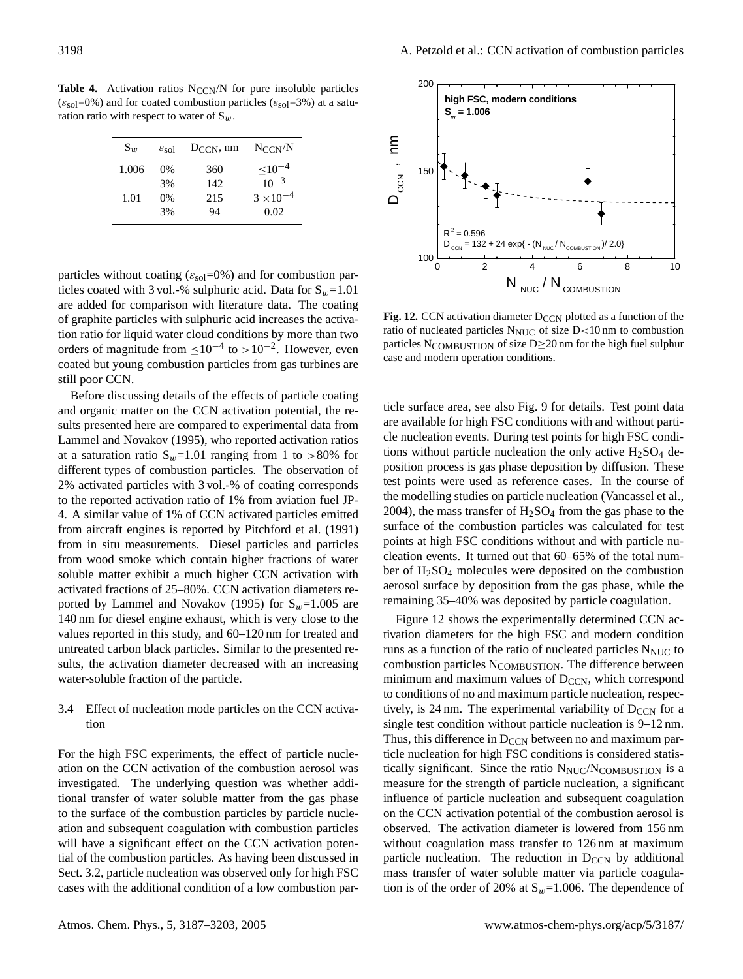**Table 4.** Activation ratios  $N_{CCN}/N$  for pure insoluble particles  $(\varepsilon_{\text{sol}}=0\%)$  and for coated combustion particles  $(\varepsilon_{\text{sol}}=3\%)$  at a saturation ratio with respect to water of  $S_w$ .

| $S_{w}$ | $\varepsilon_{\rm sol}$ | $D_{CCN}$ , nm | $N_{\rm CCN}/N$    |
|---------|-------------------------|----------------|--------------------|
| 1.006   | $0\%$                   | 360            | $\leq 10^{-4}$     |
|         | 3%                      | 142            | $10^{-3}$          |
| 1.01    | $0\%$                   | 215            | $3 \times 10^{-4}$ |
|         | 3%                      | 94             | 0.02               |

particles without coating ( $\varepsilon_{sol}$ =0%) and for combustion particles coated with 3 vol.-% sulphuric acid. Data for  $S_w=1.01$ are added for comparison with literature data. The coating of graphite particles with sulphuric acid increases the activation ratio for liquid water cloud conditions by more than two orders of magnitude from  $\leq 10^{-4}$  to >10<sup>-2</sup>. However, even coated but young combustion particles from gas turbines are still poor CCN.

Before discussing details of the effects of particle coating and organic matter on the CCN activation potential, the results presented here are compared to experimental data from Lammel and Novakov (1995), who reported activation ratios at a saturation ratio  $S_w$ =1.01 ranging from 1 to >80% for different types of combustion particles. The observation of 2% activated particles with 3 vol.-% of coating corresponds to the reported activation ratio of 1% from aviation fuel JP-4. A similar value of 1% of CCN activated particles emitted from aircraft engines is reported by Pitchford et al. (1991) from in situ measurements. Diesel particles and particles from wood smoke which contain higher fractions of water soluble matter exhibit a much higher CCN activation with activated fractions of 25–80%. CCN activation diameters reported by Lammel and Novakov (1995) for  $S_w=1.005$  are 140 nm for diesel engine exhaust, which is very close to the values reported in this study, and 60–120 nm for treated and untreated carbon black particles. Similar to the presented results, the activation diameter decreased with an increasing water-soluble fraction of the particle.

## 3.4 Effect of nucleation mode particles on the CCN activation

For the high FSC experiments, the effect of particle nucleation on the CCN activation of the combustion aerosol was investigated. The underlying question was whether additional transfer of water soluble matter from the gas phase to the surface of the combustion particles by particle nucleation and subsequent coagulation with combustion particles will have a significant effect on the CCN activation potential of the combustion particles. As having been discussed in Sect. 3.2, particle nucleation was observed only for high FSC cases with the additional condition of a low combustion par-



Fig. 12. CCN activation diameter D<sub>CCN</sub> plotted as a function of the ratio of nucleated particles  $N_{\text{NUC}}$  of size  $D$ <10 nm to combustion particles N<sub>COMBUSTION</sub> of size D $\geq$ 20 nm for the high fuel sulphur case and modern operation conditions.

ticle surface area, see also Fig. 9 for details. Test point data are available for high FSC conditions with and without particle nucleation events. During test points for high FSC conditions without particle nucleation the only active  $H_2SO_4$  deposition process is gas phase deposition by diffusion. These test points were used as reference cases. In the course of the modelling studies on particle nucleation (Vancassel et al., 2004), the mass transfer of  $H_2SO_4$  from the gas phase to the surface of the combustion particles was calculated for test points at high FSC conditions without and with particle nucleation events. It turned out that 60–65% of the total number of H2SO<sup>4</sup> molecules were deposited on the combustion aerosol surface by deposition from the gas phase, while the remaining 35–40% was deposited by particle coagulation.

Figure 12 shows the experimentally determined CCN activation diameters for the high FSC and modern condition runs as a function of the ratio of nucleated particles  $N_{\text{NUC}}$  to combustion particles N<sub>COMBUSTION</sub>. The difference between minimum and maximum values of  $D_{CCN}$ , which correspond to conditions of no and maximum particle nucleation, respectively, is 24 nm. The experimental variability of  $D_{CCN}$  for a single test condition without particle nucleation is 9–12 nm. Thus, this difference in  $D_{CCN}$  between no and maximum particle nucleation for high FSC conditions is considered statistically significant. Since the ratio  $N_{\text{NUC}}/N_{\text{COMBUSTION}}$  is a measure for the strength of particle nucleation, a significant influence of particle nucleation and subsequent coagulation on the CCN activation potential of the combustion aerosol is observed. The activation diameter is lowered from 156 nm without coagulation mass transfer to 126 nm at maximum particle nucleation. The reduction in  $D_{CCN}$  by additional mass transfer of water soluble matter via particle coagulation is of the order of 20% at  $S_w=1.006$ . The dependence of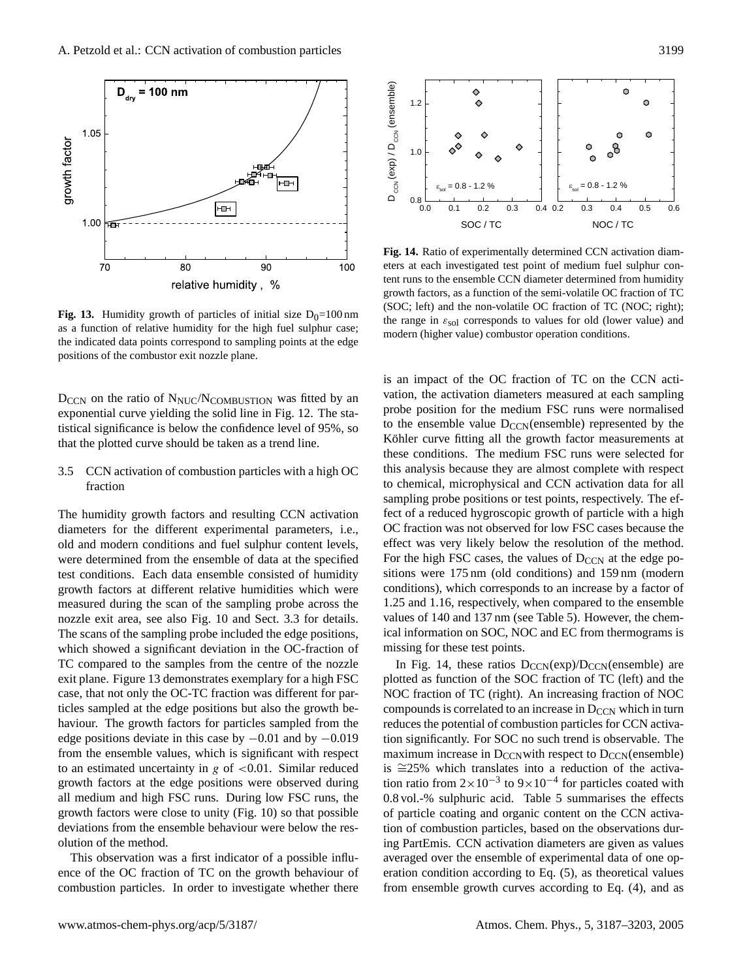

**Fig. 13.** Humidity growth of particles of initial size  $D_0=100$  nm as a function of relative humidity for the high fuel sulphur case; the indicated data points correspond to sampling points at the edge positions of the combustor exit nozzle plane.

 $D_{CCN}$  on the ratio of  $N_{NUC}/N_{COMBUSTION}$  was fitted by an exponential curve yielding the solid line in Fig. 12. The statistical significance is below the confidence level of 95%, so that the plotted curve should be taken as a trend line.

# 3.5 CCN activation of combustion particles with a high OC fraction

The humidity growth factors and resulting CCN activation diameters for the different experimental parameters, i.e., old and modern conditions and fuel sulphur content levels, were determined from the ensemble of data at the specified test conditions. Each data ensemble consisted of humidity growth factors at different relative humidities which were measured during the scan of the sampling probe across the nozzle exit area, see also Fig. 10 and Sect. 3.3 for details. The scans of the sampling probe included the edge positions, which showed a significant deviation in the OC-fraction of TC compared to the samples from the centre of the nozzle exit plane. Figure 13 demonstrates exemplary for a high FSC case, that not only the OC-TC fraction was different for particles sampled at the edge positions but also the growth behaviour. The growth factors for particles sampled from the edge positions deviate in this case by −0.01 and by −0.019 from the ensemble values, which is significant with respect to an estimated uncertainty in  $g$  of  $\lt 0.01$ . Similar reduced growth factors at the edge positions were observed during all medium and high FSC runs. During low FSC runs, the growth factors were close to unity (Fig. 10) so that possible deviations from the ensemble behaviour were below the resolution of the method.

This observation was a first indicator of a possible influence of the OC fraction of TC on the growth behaviour of combustion particles. In order to investigate whether there



**Fig. 14.** Ratio of experimentally determined CCN activation diameters at each investigated test point of medium fuel sulphur content runs to the ensemble CCN diameter determined from humidity growth factors, as a function of the semi-volatile OC fraction of TC (SOC; left) and the non-volatile OC fraction of TC (NOC; right); the range in  $\varepsilon_{sol}$  corresponds to values for old (lower value) and modern (higher value) combustor operation conditions.

is an impact of the OC fraction of TC on the CCN activation, the activation diameters measured at each sampling probe position for the medium FSC runs were normalised to the ensemble value  $D_{CCN}$ (ensemble) represented by the Köhler curve fitting all the growth factor measurements at these conditions. The medium FSC runs were selected for this analysis because they are almost complete with respect to chemical, microphysical and CCN activation data for all sampling probe positions or test points, respectively. The effect of a reduced hygroscopic growth of particle with a high OC fraction was not observed for low FSC cases because the effect was very likely below the resolution of the method. For the high FSC cases, the values of  $D_{CCN}$  at the edge positions were 175 nm (old conditions) and 159 nm (modern conditions), which corresponds to an increase by a factor of 1.25 and 1.16, respectively, when compared to the ensemble values of 140 and 137 nm (see Table 5). However, the chemical information on SOC, NOC and EC from thermograms is missing for these test points.

In Fig. 14, these ratios  $D_{CCN}(exp)/D_{CCN}(ensemble)$  are plotted as function of the SOC fraction of TC (left) and the NOC fraction of TC (right). An increasing fraction of NOC compounds is correlated to an increase in  $D_{CCN}$  which in turn reduces the potential of combustion particles for CCN activation significantly. For SOC no such trend is observable. The maximum increase in  $D_{CCN}$  with respect to  $D_{CCN}$ (ensemble) is ∼=25% which translates into a reduction of the activation ratio from  $2 \times 10^{-3}$  to  $9 \times 10^{-4}$  for particles coated with 0.8 vol.-% sulphuric acid. Table 5 summarises the effects of particle coating and organic content on the CCN activation of combustion particles, based on the observations during PartEmis. CCN activation diameters are given as values averaged over the ensemble of experimental data of one operation condition according to Eq. (5), as theoretical values from ensemble growth curves according to Eq. (4), and as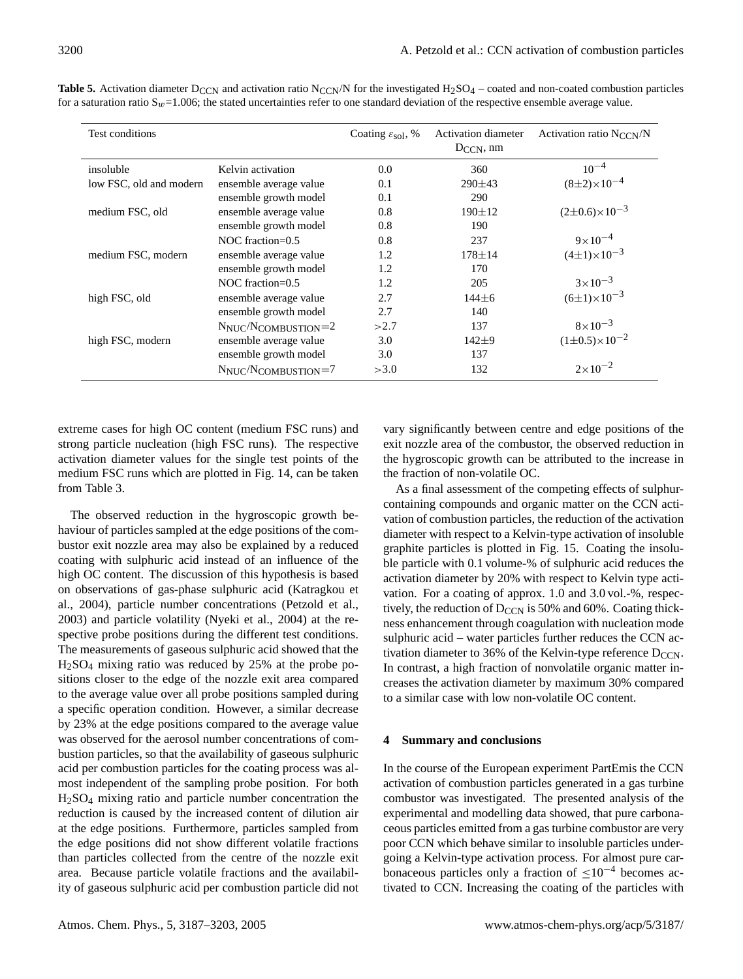| Test conditions         |                                          | Coating $\varepsilon_{\text{sol}}$ , % | <b>Activation diameter</b> | Activation ratio $N_{\rm CCN}/N$ |
|-------------------------|------------------------------------------|----------------------------------------|----------------------------|----------------------------------|
|                         |                                          |                                        | $D_{CCN}$ , nm             |                                  |
| insoluble               | Kelvin activation                        | 0.0                                    | 360                        | $10^{-4}$                        |
| low FSC, old and modern | ensemble average value                   | 0.1                                    | $290 \pm 43$               | $(8\pm2)\times10^{-4}$           |
|                         | ensemble growth model                    | 0.1                                    | 290                        |                                  |
| medium FSC, old         | ensemble average value                   | 0.8                                    | $190 \pm 12$               | $(2\pm 0.6)\times 10^{-3}$       |
|                         | ensemble growth model                    | 0.8                                    | 190                        |                                  |
|                         | NOC fraction= $0.5$                      | 0.8                                    | 237                        | $9 \times 10^{-4}$               |
| medium FSC, modern      | ensemble average value                   | 1.2                                    | $178 + 14$                 | $(4\pm1)\times10^{-3}$           |
|                         | ensemble growth model                    | 1.2                                    | 170                        |                                  |
|                         | NOC fraction= $0.5$                      | 1.2                                    | 205                        | $3 \times 10^{-3}$               |
| high FSC, old           | ensemble average value                   | 2.7                                    | $144\pm 6$                 | $(6\pm1)\times10^{-3}$           |
|                         | ensemble growth model                    | 2.7                                    | 140                        |                                  |
|                         | $N_{\rm NUC}/N_{\rm COMBUSTION} = 2$     | >2.7                                   | 137                        | $8 \times 10^{-3}$               |
| high FSC, modern        | ensemble average value                   | 3.0                                    | $142 + 9$                  | $(1\pm 0.5)\times 10^{-2}$       |
|                         | ensemble growth model                    | 3.0                                    | 137                        |                                  |
|                         | $N_{\text{NUC}}/N_{\text{COMBUSTION}}=7$ | >3.0                                   | 132                        | $2 \times 10^{-2}$               |

**Table 5.** Activation diameter  $D_{CCN}$  and activation ratio  $N_{CCN}/N$  for the investigated  $H_2SO_4$  – coated and non-coated combustion particles for a saturation ratio  $S_w$ =1.006; the stated uncertainties refer to one standard deviation of the respective ensemble average value.

extreme cases for high OC content (medium FSC runs) and strong particle nucleation (high FSC runs). The respective activation diameter values for the single test points of the medium FSC runs which are plotted in Fig. 14, can be taken from Table 3.

The observed reduction in the hygroscopic growth behaviour of particles sampled at the edge positions of the combustor exit nozzle area may also be explained by a reduced coating with sulphuric acid instead of an influence of the high OC content. The discussion of this hypothesis is based on observations of gas-phase sulphuric acid (Katragkou et al., 2004), particle number concentrations (Petzold et al., 2003) and particle volatility (Nyeki et al., 2004) at the respective probe positions during the different test conditions. The measurements of gaseous sulphuric acid showed that the H2SO<sup>4</sup> mixing ratio was reduced by 25% at the probe positions closer to the edge of the nozzle exit area compared to the average value over all probe positions sampled during a specific operation condition. However, a similar decrease by 23% at the edge positions compared to the average value was observed for the aerosol number concentrations of combustion particles, so that the availability of gaseous sulphuric acid per combustion particles for the coating process was almost independent of the sampling probe position. For both H2SO<sup>4</sup> mixing ratio and particle number concentration the reduction is caused by the increased content of dilution air at the edge positions. Furthermore, particles sampled from the edge positions did not show different volatile fractions than particles collected from the centre of the nozzle exit area. Because particle volatile fractions and the availability of gaseous sulphuric acid per combustion particle did not vary significantly between centre and edge positions of the exit nozzle area of the combustor, the observed reduction in the hygroscopic growth can be attributed to the increase in the fraction of non-volatile OC.

As a final assessment of the competing effects of sulphurcontaining compounds and organic matter on the CCN activation of combustion particles, the reduction of the activation diameter with respect to a Kelvin-type activation of insoluble graphite particles is plotted in Fig. 15. Coating the insoluble particle with 0.1 volume-% of sulphuric acid reduces the activation diameter by 20% with respect to Kelvin type activation. For a coating of approx. 1.0 and 3.0 vol.-%, respectively, the reduction of  $D_{CCN}$  is 50% and 60%. Coating thickness enhancement through coagulation with nucleation mode sulphuric acid – water particles further reduces the CCN activation diameter to 36% of the Kelvin-type reference  $D_{CCN}$ . In contrast, a high fraction of nonvolatile organic matter increases the activation diameter by maximum 30% compared to a similar case with low non-volatile OC content.

# **4 Summary and conclusions**

In the course of the European experiment PartEmis the CCN activation of combustion particles generated in a gas turbine combustor was investigated. The presented analysis of the experimental and modelling data showed, that pure carbonaceous particles emitted from a gas turbine combustor are very poor CCN which behave similar to insoluble particles undergoing a Kelvin-type activation process. For almost pure carbonaceous particles only a fraction of  $\leq 10^{-4}$  becomes activated to CCN. Increasing the coating of the particles with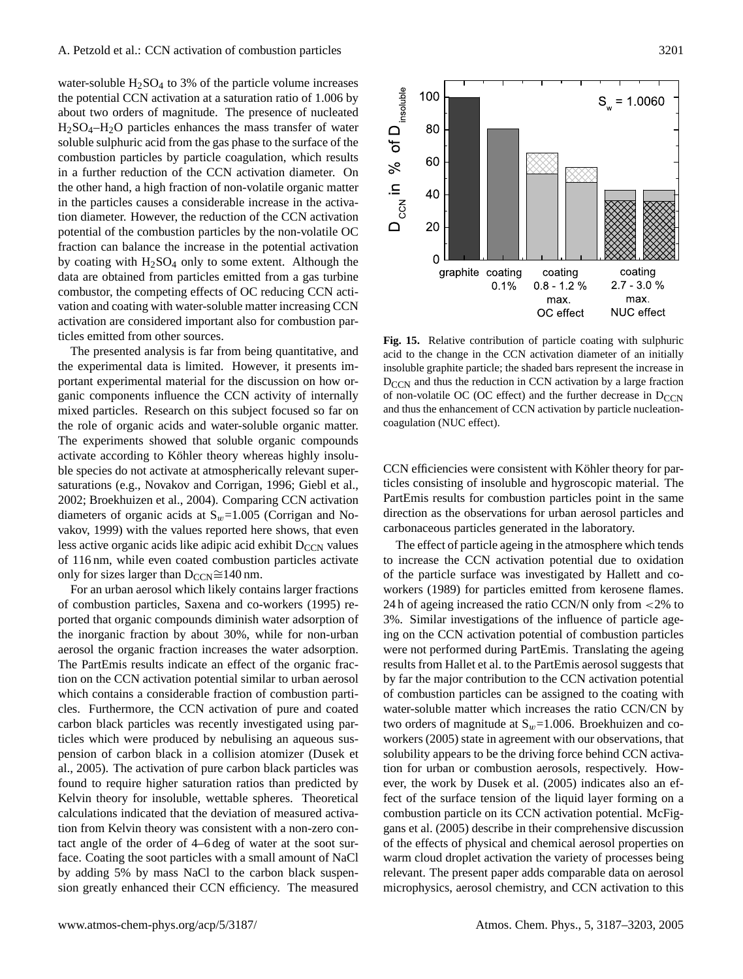water-soluble  $H<sub>2</sub>SO<sub>4</sub>$  to 3% of the particle volume increases the potential CCN activation at a saturation ratio of 1.006 by about two orders of magnitude. The presence of nucleated H2SO4–H2O particles enhances the mass transfer of water soluble sulphuric acid from the gas phase to the surface of the combustion particles by particle coagulation, which results in a further reduction of the CCN activation diameter. On the other hand, a high fraction of non-volatile organic matter in the particles causes a considerable increase in the activation diameter. However, the reduction of the CCN activation potential of the combustion particles by the non-volatile OC fraction can balance the increase in the potential activation by coating with  $H_2SO_4$  only to some extent. Although the data are obtained from particles emitted from a gas turbine combustor, the competing effects of OC reducing CCN activation and coating with water-soluble matter increasing CCN activation are considered important also for combustion particles emitted from other sources.

The presented analysis is far from being quantitative, and the experimental data is limited. However, it presents important experimental material for the discussion on how organic components influence the CCN activity of internally mixed particles. Research on this subject focused so far on the role of organic acids and water-soluble organic matter. The experiments showed that soluble organic compounds activate according to Köhler theory whereas highly insoluble species do not activate at atmospherically relevant supersaturations (e.g., Novakov and Corrigan, 1996; Giebl et al., 2002; Broekhuizen et al., 2004). Comparing CCN activation diameters of organic acids at  $S_w=1.005$  (Corrigan and Novakov, 1999) with the values reported here shows, that even less active organic acids like adipic acid exhibit  $D_{CCN}$  values of 116 nm, while even coated combustion particles activate only for sizes larger than D<sub>CCN</sub>≅140 nm.

For an urban aerosol which likely contains larger fractions of combustion particles, Saxena and co-workers (1995) reported that organic compounds diminish water adsorption of the inorganic fraction by about 30%, while for non-urban aerosol the organic fraction increases the water adsorption. The PartEmis results indicate an effect of the organic fraction on the CCN activation potential similar to urban aerosol which contains a considerable fraction of combustion particles. Furthermore, the CCN activation of pure and coated carbon black particles was recently investigated using particles which were produced by nebulising an aqueous suspension of carbon black in a collision atomizer (Dusek et al., 2005). The activation of pure carbon black particles was found to require higher saturation ratios than predicted by Kelvin theory for insoluble, wettable spheres. Theoretical calculations indicated that the deviation of measured activation from Kelvin theory was consistent with a non-zero contact angle of the order of 4–6 deg of water at the soot surface. Coating the soot particles with a small amount of NaCl by adding 5% by mass NaCl to the carbon black suspension greatly enhanced their CCN efficiency. The measured



**Fig. 15.** Relative contribution of particle coating with sulphuric acid to the change in the CCN activation diameter of an initially insoluble graphite particle; the shaded bars represent the increase in D<sub>CCN</sub> and thus the reduction in CCN activation by a large fraction of non-volatile OC (OC effect) and the further decrease in  $D_{CCN}$ and thus the enhancement of CCN activation by particle nucleationcoagulation (NUC effect).

CCN efficiencies were consistent with Köhler theory for particles consisting of insoluble and hygroscopic material. The PartEmis results for combustion particles point in the same direction as the observations for urban aerosol particles and carbonaceous particles generated in the laboratory.

The effect of particle ageing in the atmosphere which tends to increase the CCN activation potential due to oxidation of the particle surface was investigated by Hallett and coworkers (1989) for particles emitted from kerosene flames. 24 h of ageing increased the ratio CCN/N only from <2% to 3%. Similar investigations of the influence of particle ageing on the CCN activation potential of combustion particles were not performed during PartEmis. Translating the ageing results from Hallet et al. to the PartEmis aerosol suggests that by far the major contribution to the CCN activation potential of combustion particles can be assigned to the coating with water-soluble matter which increases the ratio CCN/CN by two orders of magnitude at  $S_w=1.006$ . Broekhuizen and coworkers (2005) state in agreement with our observations, that solubility appears to be the driving force behind CCN activation for urban or combustion aerosols, respectively. However, the work by Dusek et al. (2005) indicates also an effect of the surface tension of the liquid layer forming on a combustion particle on its CCN activation potential. McFiggans et al. (2005) describe in their comprehensive discussion of the effects of physical and chemical aerosol properties on warm cloud droplet activation the variety of processes being relevant. The present paper adds comparable data on aerosol microphysics, aerosol chemistry, and CCN activation to this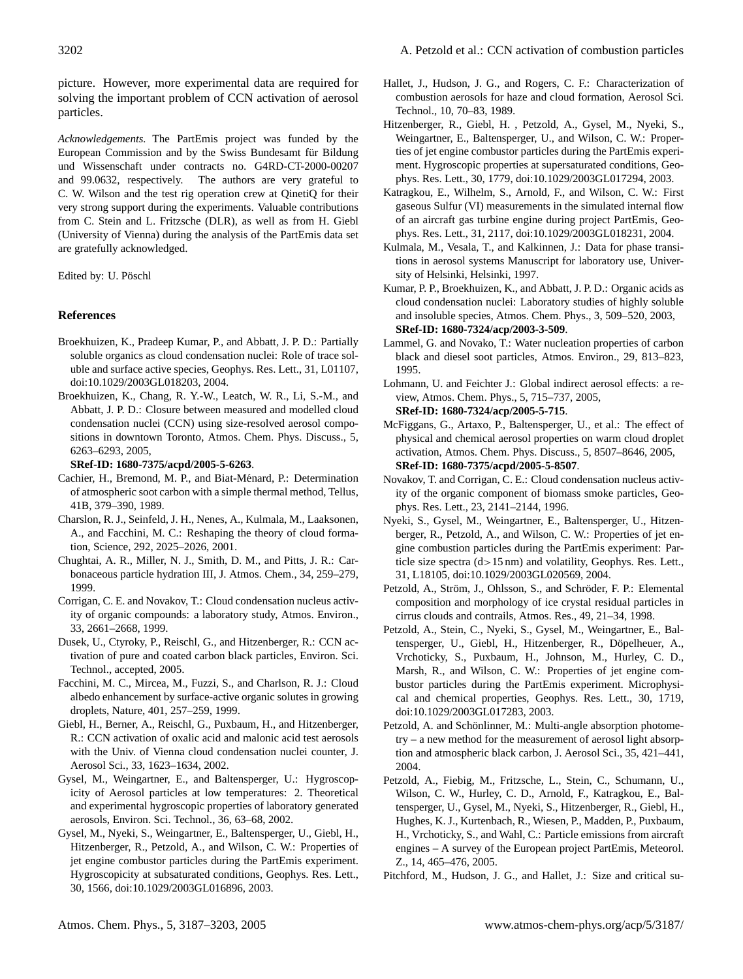picture. However, more experimental data are required for solving the important problem of CCN activation of aerosol particles.

*Acknowledgements.* The PartEmis project was funded by the European Commission and by the Swiss Bundesamt für Bildung und Wissenschaft under contracts no. G4RD-CT-2000-00207 and 99.0632, respectively. The authors are very grateful to C. W. Wilson and the test rig operation crew at QinetiQ for their very strong support during the experiments. Valuable contributions from C. Stein and L. Fritzsche (DLR), as well as from H. Giebl (University of Vienna) during the analysis of the PartEmis data set are gratefully acknowledged.

Edited by: U. Pöschl

## **References**

- Broekhuizen, K., Pradeep Kumar, P., and Abbatt, J. P. D.: Partially soluble organics as cloud condensation nuclei: Role of trace soluble and surface active species, Geophys. Res. Lett., 31, L01107, doi:10.1029/2003GL018203, 2004.
- Broekhuizen, K., Chang, R. Y.-W., Leatch, W. R., Li, S.-M., and Abbatt, J. P. D.: Closure between measured and modelled cloud condensation nuclei (CCN) using size-resolved aerosol compositions in downtown Toronto, Atmos. Chem. Phys. Discuss., 5, 6263–6293, 2005,

**[SRef-ID: 1680-7375/acpd/2005-5-6263](http://direct.sref.org/1680-7375/acpd/2005-5-6263)**.

- Cachier, H., Bremond, M. P., and Biat-Ménard, P.: Determination of atmospheric soot carbon with a simple thermal method, Tellus, 41B, 379–390, 1989.
- Charslon, R. J., Seinfeld, J. H., Nenes, A., Kulmala, M., Laaksonen, A., and Facchini, M. C.: Reshaping the theory of cloud formation, Science, 292, 2025–2026, 2001.
- Chughtai, A. R., Miller, N. J., Smith, D. M., and Pitts, J. R.: Carbonaceous particle hydration III, J. Atmos. Chem., 34, 259–279, 1999.
- Corrigan, C. E. and Novakov, T.: Cloud condensation nucleus activity of organic compounds: a laboratory study, Atmos. Environ., 33, 2661–2668, 1999.
- Dusek, U., Ctyroky, P., Reischl, G., and Hitzenberger, R.: CCN activation of pure and coated carbon black particles, Environ. Sci. Technol., accepted, 2005.
- Facchini, M. C., Mircea, M., Fuzzi, S., and Charlson, R. J.: Cloud albedo enhancement by surface-active organic solutes in growing droplets, Nature, 401, 257–259, 1999.
- Giebl, H., Berner, A., Reischl, G., Puxbaum, H., and Hitzenberger, R.: CCN activation of oxalic acid and malonic acid test aerosols with the Univ. of Vienna cloud condensation nuclei counter, J. Aerosol Sci., 33, 1623–1634, 2002.
- Gysel, M., Weingartner, E., and Baltensperger, U.: Hygroscopicity of Aerosol particles at low temperatures: 2. Theoretical and experimental hygroscopic properties of laboratory generated aerosols, Environ. Sci. Technol., 36, 63–68, 2002.
- Gysel, M., Nyeki, S., Weingartner, E., Baltensperger, U., Giebl, H., Hitzenberger, R., Petzold, A., and Wilson, C. W.: Properties of jet engine combustor particles during the PartEmis experiment. Hygroscopicity at subsaturated conditions, Geophys. Res. Lett., 30, 1566, doi:10.1029/2003GL016896, 2003.
- Hallet, J., Hudson, J. G., and Rogers, C. F.: Characterization of combustion aerosols for haze and cloud formation, Aerosol Sci. Technol., 10, 70–83, 1989.
- Hitzenberger, R., Giebl, H. , Petzold, A., Gysel, M., Nyeki, S., Weingartner, E., Baltensperger, U., and Wilson, C. W.: Properties of jet engine combustor particles during the PartEmis experiment. Hygroscopic properties at supersaturated conditions, Geophys. Res. Lett., 30, 1779, doi:10.1029/2003GL017294, 2003.
- Katragkou, E., Wilhelm, S., Arnold, F., and Wilson, C. W.: First gaseous Sulfur (VI) measurements in the simulated internal flow of an aircraft gas turbine engine during project PartEmis, Geophys. Res. Lett., 31, 2117, doi:10.1029/2003GL018231, 2004.
- Kulmala, M., Vesala, T., and Kalkinnen, J.: Data for phase transitions in aerosol systems Manuscript for laboratory use, University of Helsinki, Helsinki, 1997.
- Kumar, P. P., Broekhuizen, K., and Abbatt, J. P. D.: Organic acids as cloud condensation nuclei: Laboratory studies of highly soluble and insoluble species, Atmos. Chem. Phys., 3, 509–520, 2003, **[SRef-ID: 1680-7324/acp/2003-3-509](http://direct.sref.org/1680-7324/acp/2003-3-509)**.
- Lammel, G. and Novako, T.: Water nucleation properties of carbon black and diesel soot particles, Atmos. Environ., 29, 813–823, 1995.
- Lohmann, U. and Feichter J.: Global indirect aerosol effects: a review, Atmos. Chem. Phys., 5, 715–737, 2005, **[SRef-ID: 1680-7324/acp/2005-5-715](http://direct.sref.org/1680-7324/acp/2005-5-715)**.
- McFiggans, G., Artaxo, P., Baltensperger, U., et al.: The effect of physical and chemical aerosol properties on warm cloud droplet activation, Atmos. Chem. Phys. Discuss., 5, 8507–8646, 2005, **[SRef-ID: 1680-7375/acpd/2005-5-8507](http://direct.sref.org/1680-7375/acpd/2005-5-8507)**.
- Novakov, T. and Corrigan, C. E.: Cloud condensation nucleus activity of the organic component of biomass smoke particles, Geophys. Res. Lett., 23, 2141–2144, 1996.
- Nyeki, S., Gysel, M., Weingartner, E., Baltensperger, U., Hitzenberger, R., Petzold, A., and Wilson, C. W.: Properties of jet engine combustion particles during the PartEmis experiment: Particle size spectra (d>15 nm) and volatility, Geophys. Res. Lett., 31, L18105, doi:10.1029/2003GL020569, 2004.
- Petzold, A., Ström, J., Ohlsson, S., and Schröder, F. P.: Elemental composition and morphology of ice crystal residual particles in cirrus clouds and contrails, Atmos. Res., 49, 21–34, 1998.
- Petzold, A., Stein, C., Nyeki, S., Gysel, M., Weingartner, E., Baltensperger, U., Giebl, H., Hitzenberger, R., Döpelheuer, A., Vrchoticky, S., Puxbaum, H., Johnson, M., Hurley, C. D., Marsh, R., and Wilson, C. W.: Properties of jet engine combustor particles during the PartEmis experiment. Microphysical and chemical properties, Geophys. Res. Lett., 30, 1719, doi:10.1029/2003GL017283, 2003.
- Petzold, A. and Schönlinner, M.: Multi-angle absorption photometry – a new method for the measurement of aerosol light absorption and atmospheric black carbon, J. Aerosol Sci., 35, 421–441, 2004.
- Petzold, A., Fiebig, M., Fritzsche, L., Stein, C., Schumann, U., Wilson, C. W., Hurley, C. D., Arnold, F., Katragkou, E., Baltensperger, U., Gysel, M., Nyeki, S., Hitzenberger, R., Giebl, H., Hughes, K. J., Kurtenbach, R., Wiesen, P., Madden, P., Puxbaum, H., Vrchoticky, S., and Wahl, C.: Particle emissions from aircraft engines – A survey of the European project PartEmis, Meteorol. Z., 14, 465–476, 2005.
- Pitchford, M., Hudson, J. G., and Hallet, J.: Size and critical su-